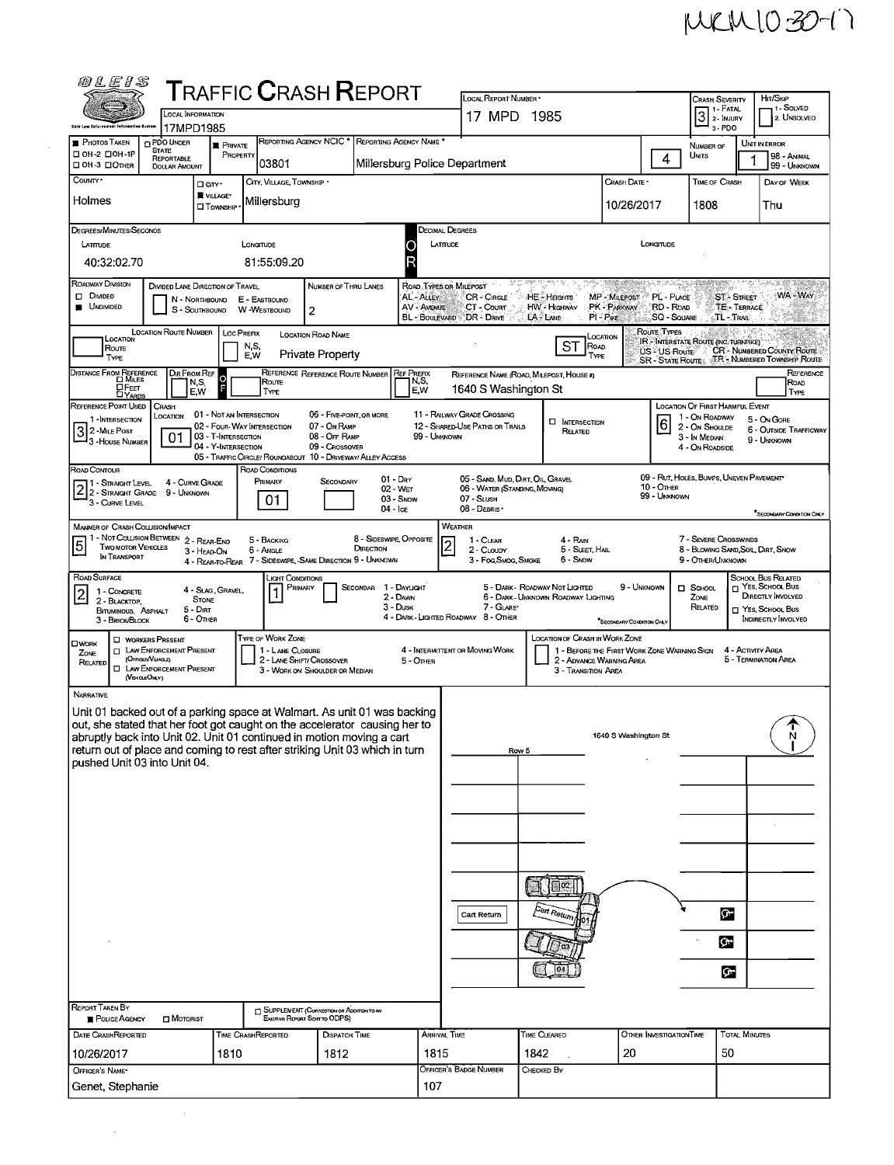## $MKMIO30-17$

|                                                                                                             |                                        |                                       |                                                                       |                                   |                                          |                                    |                                                                       |                                                 |                                 |                                                                                            | 1 - FATAL                          | 1 - SOLVED                                       |
|-------------------------------------------------------------------------------------------------------------|----------------------------------------|---------------------------------------|-----------------------------------------------------------------------|-----------------------------------|------------------------------------------|------------------------------------|-----------------------------------------------------------------------|-------------------------------------------------|---------------------------------|--------------------------------------------------------------------------------------------|------------------------------------|--------------------------------------------------|
| LOCAL INFORMATION<br>17MPD1985<br>Cale Law Enforcement Information Excites                                  |                                        |                                       |                                                                       |                                   |                                          | 17 MPD 1985                        |                                                                       |                                                 |                                 | $31.1$ PATAL<br>$3 - PDO$                                                                  |                                    | 2. UNSOLVEO                                      |
| PHOTOS TAKEN<br><b>PDO UNDER</b><br><b>STATE</b>                                                            | <b>E</b> PRIVATE                       |                                       | REPORTING AGENCY NCIC <sup>*</sup> REPORTING AGENCY NAME <sup>*</sup> |                                   |                                          |                                    |                                                                       |                                                 |                                 | Number of                                                                                  |                                    | UNIT IN ERROR                                    |
| □ 0Н-2 □ 0Н-1Р<br><b>REPORTABLE</b><br>CI OH-3 CIOTHER<br><b>DOLLAR AMOUNT</b>                              | PROPERTY                               | 03801                                 |                                                                       |                                   | Millersburg Police Department            |                                    |                                                                       |                                                 | $\overline{4}$                  | UNITS                                                                                      |                                    | 98 - ANIMAL<br>99 - UNKNOWN                      |
| Countr.                                                                                                     | □ cm·                                  | CITY, VILLAGE, TOWNSHIP .             |                                                                       |                                   |                                          |                                    |                                                                       | Crash Date *                                    |                                 | TIME OF CRASH                                                                              |                                    | DAY OF WEEK                                      |
| Holmes                                                                                                      | <b>UNILIAGE*</b><br><b>CI TOWNSHIP</b> | Millersburg                           |                                                                       |                                   |                                          |                                    |                                                                       | 10/26/2017                                      |                                 | 1808                                                                                       |                                    | Thu                                              |
|                                                                                                             |                                        |                                       |                                                                       |                                   |                                          |                                    |                                                                       |                                                 |                                 |                                                                                            |                                    |                                                  |
| DEGREES/MINUTES/SECONDS<br>LATITUDE                                                                         |                                        | <b>LONGTUDE</b>                       |                                                                       |                                   | Decimal Degrees<br>LATITUDE              |                                    |                                                                       |                                                 | LONGITUDE                       |                                                                                            |                                    |                                                  |
| 40:32:02.70                                                                                                 |                                        | 81:55:09.20                           |                                                                       |                                   |                                          |                                    |                                                                       |                                                 |                                 |                                                                                            |                                    |                                                  |
| ROADWAY DIVISION                                                                                            |                                        |                                       |                                                                       |                                   | ROAD TYPES OR MILEPOST                   |                                    |                                                                       |                                                 |                                 |                                                                                            |                                    |                                                  |
| DIVIDED LANE DIRECTION OF TRAVEL<br>D DIVIDED<br>N - Northbound                                             |                                        | E - EASTBOUND                         | NUMBER OF THRU LANES                                                  |                                   | AL - ALLEY                               | CR - CIRCLE                        | HE - Heights                                                          | MP - MILEPOST                                   | PL - PLACE                      |                                                                                            | <b>ST-STREET</b>                   | WA-WAY                                           |
| <b>UNDIVIDED</b><br>S - SOUTHBOUND                                                                          |                                        | W-WESTBOUND                           | 2                                                                     |                                   | AV - AVENUE<br>BL - BOULEVARD DR - DRIVE | CT - Court                         | HW - HIGHWAY<br>LA - LANE                                             | PK - PARKWAY<br>$PI - P_{IKE}$                  | RD - Road<br><b>SQ - SOUARE</b> |                                                                                            | <b>TE-TERRACE</b><br>$TL$ - $TRAL$ |                                                  |
| <b>LOCATION ROUTE NUMBER</b><br>LOCATION                                                                    | LOC PREFIX                             |                                       | LOCATION ROAD NAME                                                    |                                   |                                          |                                    |                                                                       | LOCATION                                        | Route Types                     | <b>IR.</b> INTERSTATE ROUTE (ING. TURNPIKE)                                                |                                    |                                                  |
| Route<br>TYPE                                                                                               |                                        | N,S,<br>E.W                           | <b>Private Property</b>                                               |                                   |                                          |                                    | <b>ST</b>                                                             | <b>ROAD</b><br>TYPE                             |                                 | US - US Route CR - NUMBERED COUNTY ROUTE<br>SR - STATE ROUTE: TR - NUMBERED TOWNSHIP ROUTE |                                    |                                                  |
| DISTANCE FROM REFERENCE<br>DR FROM REF                                                                      |                                        |                                       | REFERENCE REFERENCE ROUTE NUMBER REF PREFIX                           |                                   |                                          |                                    | REFERENCE NAME (ROAD, MILEPOST, HOUSE #)                              |                                                 |                                 |                                                                                            |                                    | REFERENCE                                        |
| N,S,<br><b>DFEET</b><br>E,W<br>$\square$ YARDS                                                              |                                        | Route<br>TYPE                         |                                                                       |                                   | N,S,<br>E,W                              | 1640 S Washington St               |                                                                       |                                                 |                                 |                                                                                            |                                    | ROAD<br>TYPE                                     |
| REFERENCE POINT USED<br>CRASH<br>LOCATION                                                                   |                                        | 01 - NOT AN INTERSECTION              | 06 - FIVE-POINT, OR MORE                                              |                                   | 11 - RAILWAY GRADE CROSSING              |                                    |                                                                       |                                                 |                                 | <b>LOCATION OF FIRST HARMFUL EVENT</b>                                                     |                                    |                                                  |
| 1-INTERSECTION<br>32-MILE POST                                                                              | 03 - T-INTERSECTION                    | 02 - FOUR-WAY INTERSECTION            | 07 - On RAMP                                                          |                                   | 12 - SHARED-USE PATHS OR TRAILS          |                                    | <b>D</b> INTERSECTION<br>Related                                      |                                                 | 6                               | 1 - On ROADWAY<br>2 - On Shoulde                                                           |                                    | 5 - On Gore<br>6 - OUTSIDE TRAFFICWAY            |
| 01<br>- 3 - House Number                                                                                    | 04 - Y-INTERSECTION                    |                                       | 08 - Off RAMP<br>09 - Crossover                                       |                                   | 99 - UNKNOWN                             |                                    |                                                                       |                                                 |                                 | 3 - In MEDIAN<br>4 - ON ROADSIDE                                                           |                                    | 9 - UNKNOWN                                      |
| ROAD CONTOUR                                                                                                |                                        | ROAD CONDITIONS                       | 05 - TRAFFIC CIRCLE/ ROUNDABOUT 10 - DRIVEWAY/ ALLEY ACCESS           |                                   |                                          |                                    |                                                                       |                                                 |                                 |                                                                                            |                                    |                                                  |
| 4 - CURVE GRADE<br>1 - Straght Level<br>2 - STRAIGHT GRADE 9 - UNKNOWN                                      |                                        | PRIMARY                               | SECONDARY                                                             | $01 - \text{Dnv}$<br>02 - WET     |                                          | 06 - WATER (STANDING, MOVING)      | 05 - SAND, MUD, DIRT, OIL GRAVEL                                      |                                                 | 10 - Отнев                      | 09 - RUT, HOLES, BUMPS, UNEVEN PAVEMENT                                                    |                                    |                                                  |
| 3 - CURVE LEVEL                                                                                             |                                        | 01                                    |                                                                       | 03 - Snow<br>04 - Ice             | 07 - SLUSH                               | 08 - Deanis ·                      |                                                                       |                                                 | 99 - Unknown                    |                                                                                            |                                    |                                                  |
| MANNER OF CRASH COLLISION/IMPACT                                                                            |                                        |                                       |                                                                       |                                   | WEATHER                                  |                                    |                                                                       |                                                 |                                 |                                                                                            |                                    | SECONDARY CONDITION ONLY                         |
| 1 - NOT COLLISION BETWEEN 2 - REAR-END<br>5<br><b>TWO MOTOR VEHICLES</b>                                    |                                        | 5 - BACKING                           |                                                                       | 8 - SIDESWIPE, OPPOSITE           | 2                                        | 1 - CLEAR                          | 4 - RAN                                                               |                                                 |                                 | 7 - SEVERE CROSSWINDS                                                                      |                                    |                                                  |
| 3 - HEAD-ON<br>IN TRANSPORT                                                                                 |                                        | 6 - Angle                             | 4 - REAR-TO-REAR 7 - SIDESWIPE, -SAME DIRECTION 9 - UNKNOWN           | DIRECTION                         |                                          | 2 - CLOUDY<br>3 - Fog, Smog, Smoke | 5 - SLEET, HAL<br>6 - Snow                                            |                                                 |                                 | 8 - BLOWING SAND, SOIL, DIRT, SNOW<br>9 - OTHER/UNKNOWN                                    |                                    |                                                  |
| ROAD SURFACE                                                                                                |                                        | Licht Conditions                      |                                                                       |                                   |                                          |                                    |                                                                       |                                                 |                                 |                                                                                            |                                    | SCHOOL BUS RELATED                               |
| 1 - CONCRETE<br>$\overline{2}$<br><b>STONE</b><br>2 - BLACKTOP,                                             | 4 - SLAG, GRAVEL,                      | Primary                               |                                                                       | SECONDAR 1 - DAYLIGHT<br>2 - DAWN |                                          |                                    | 5 - DARK - ROADWAY NOT LIGHTED<br>6 - DARK - UNKNOWN ROADWAY LIGHTING |                                                 | 9 UNKNOWN                       | <b>D</b> SCHOOL<br>ZONE                                                                    |                                    | T YES, SCHOOL BUS<br>DIRECTLY INVOLVED           |
| $5 -$ Dirt<br>BITUMINOUS, ASPHALT<br>6 - OTHER<br>3 - BRICK BLOCK                                           |                                        |                                       |                                                                       | 3 - Dusk                          |                                          | 7 - GLARE*                         |                                                                       |                                                 |                                 | RELATED                                                                                    |                                    | T YES, SCHOOL BUS                                |
|                                                                                                             |                                        |                                       |                                                                       |                                   | 4 - DARK - LIGHTED ROADWAY 8 - OTHER     |                                    |                                                                       |                                                 |                                 |                                                                                            |                                    |                                                  |
|                                                                                                             |                                        |                                       |                                                                       |                                   |                                          |                                    |                                                                       | *SECONDARY CONDITION ONLY                       |                                 |                                                                                            |                                    |                                                  |
| <b>CI WORKERS PRESENT</b><br>$\square$ WORK<br><b>T LAW ENFORCEMENT PRESENT</b><br>ZONE                     |                                        | TYPE OF WORK ZONE<br>1 - LANE CLOSURE |                                                                       |                                   | 4 - INTERMITTENT OR MOVING WORK          |                                    | LOCATION OF CRASH IN WORK ZONE                                        | 1 - BEFORE THE FIRST WORK ZONE WARNING SIGN     |                                 |                                                                                            |                                    | 4 - ACTIVITY AREA                                |
| (OFROEN/ENGLE)<br>RELATED<br><b>CI LAW ENFORCEMENT PRESENT</b>                                              |                                        |                                       | 2 - LANE SHIFT/ CROSSOVER<br>3 - WORK ON SHOULDER OR MEDIAN           | 5 - OTHER                         |                                          |                                    |                                                                       | 2 - ADVANCE WARNING AREA<br>3 - TRANSITION AREA |                                 |                                                                                            |                                    |                                                  |
| (VEHICLEONLY)<br><b>NARRATIVE</b>                                                                           |                                        |                                       |                                                                       |                                   |                                          |                                    |                                                                       |                                                 |                                 |                                                                                            |                                    |                                                  |
| Unit 01 backed out of a parking space at Walmart. As unit 01 was backing                                    |                                        |                                       |                                                                       |                                   |                                          |                                    |                                                                       |                                                 |                                 |                                                                                            |                                    |                                                  |
| out, she stated that her foot got caught on the accelerator causing her to                                  |                                        |                                       |                                                                       |                                   |                                          |                                    |                                                                       |                                                 |                                 |                                                                                            |                                    |                                                  |
| abruptly back into Unit 02. Unit 01 continued in motion moving a cart                                       |                                        |                                       |                                                                       |                                   |                                          | Row 5                              |                                                                       | 1640 S Washington St                            |                                 |                                                                                            |                                    |                                                  |
| return out of place and coming to rest after striking Unit 03 which in turn<br>pushed Unit 03 into Unit 04. |                                        |                                       |                                                                       |                                   |                                          |                                    |                                                                       |                                                 |                                 |                                                                                            |                                    |                                                  |
|                                                                                                             |                                        |                                       |                                                                       |                                   |                                          |                                    |                                                                       |                                                 |                                 |                                                                                            |                                    |                                                  |
|                                                                                                             |                                        |                                       |                                                                       |                                   |                                          |                                    |                                                                       |                                                 |                                 |                                                                                            |                                    |                                                  |
|                                                                                                             |                                        |                                       |                                                                       |                                   |                                          |                                    |                                                                       |                                                 |                                 |                                                                                            |                                    | INDIRECTLY INVOLVED<br>5 - TERMINATION AREA<br>N |
|                                                                                                             |                                        |                                       |                                                                       |                                   |                                          |                                    |                                                                       |                                                 |                                 |                                                                                            |                                    |                                                  |
|                                                                                                             |                                        |                                       |                                                                       |                                   |                                          |                                    |                                                                       |                                                 |                                 |                                                                                            |                                    |                                                  |
|                                                                                                             |                                        |                                       |                                                                       |                                   |                                          |                                    |                                                                       |                                                 |                                 |                                                                                            |                                    |                                                  |
|                                                                                                             |                                        |                                       |                                                                       |                                   |                                          |                                    | $\Box$ 02                                                             |                                                 |                                 |                                                                                            |                                    |                                                  |
|                                                                                                             |                                        |                                       |                                                                       |                                   |                                          | Cart Return                        | Can Return                                                            |                                                 |                                 | Ģ.                                                                                         |                                    |                                                  |
|                                                                                                             |                                        |                                       |                                                                       |                                   |                                          |                                    |                                                                       |                                                 |                                 |                                                                                            |                                    |                                                  |
|                                                                                                             |                                        |                                       |                                                                       |                                   |                                          |                                    |                                                                       |                                                 |                                 | lo-                                                                                        |                                    |                                                  |
|                                                                                                             |                                        |                                       |                                                                       |                                   |                                          |                                    |                                                                       |                                                 |                                 |                                                                                            |                                    |                                                  |
|                                                                                                             |                                        |                                       |                                                                       |                                   |                                          |                                    |                                                                       |                                                 |                                 |                                                                                            | <b>Gr</b>                          |                                                  |
| <b>REPORT TAKEN BY</b>                                                                                      |                                        |                                       | <b>GUPPLEMENT (CORRECTION OR ADDITION TO AN</b>                       |                                   |                                          |                                    |                                                                       |                                                 |                                 |                                                                                            |                                    |                                                  |
| <b>D</b> MOTORIST<br><b>POLICE AGENCY</b>                                                                   |                                        |                                       | Existing Report Seve to ODPS)                                         |                                   |                                          |                                    |                                                                       |                                                 |                                 |                                                                                            |                                    |                                                  |
| DATE CRASHREPORTED                                                                                          |                                        | <b>TIME CRASHREPORTED</b>             | <b>DISPATCH TIME</b>                                                  |                                   | <b>ARRIVAL TIME</b>                      |                                    | TIME CLEARED                                                          |                                                 | OTHER INVESTIGATION TIME        |                                                                                            | <b>TOTAL MINUTES</b>               |                                                  |
| 10/26/2017                                                                                                  | 1810                                   |                                       | 1812                                                                  |                                   | 1815                                     |                                    | 1842                                                                  | 20                                              |                                 |                                                                                            | 50                                 |                                                  |
| OFFICER'S NAME*<br>Genet, Stephanie                                                                         |                                        |                                       |                                                                       |                                   | OFFICER'S BADGE NUMBER<br>107            |                                    | CHECKED BY                                                            |                                                 |                                 |                                                                                            |                                    |                                                  |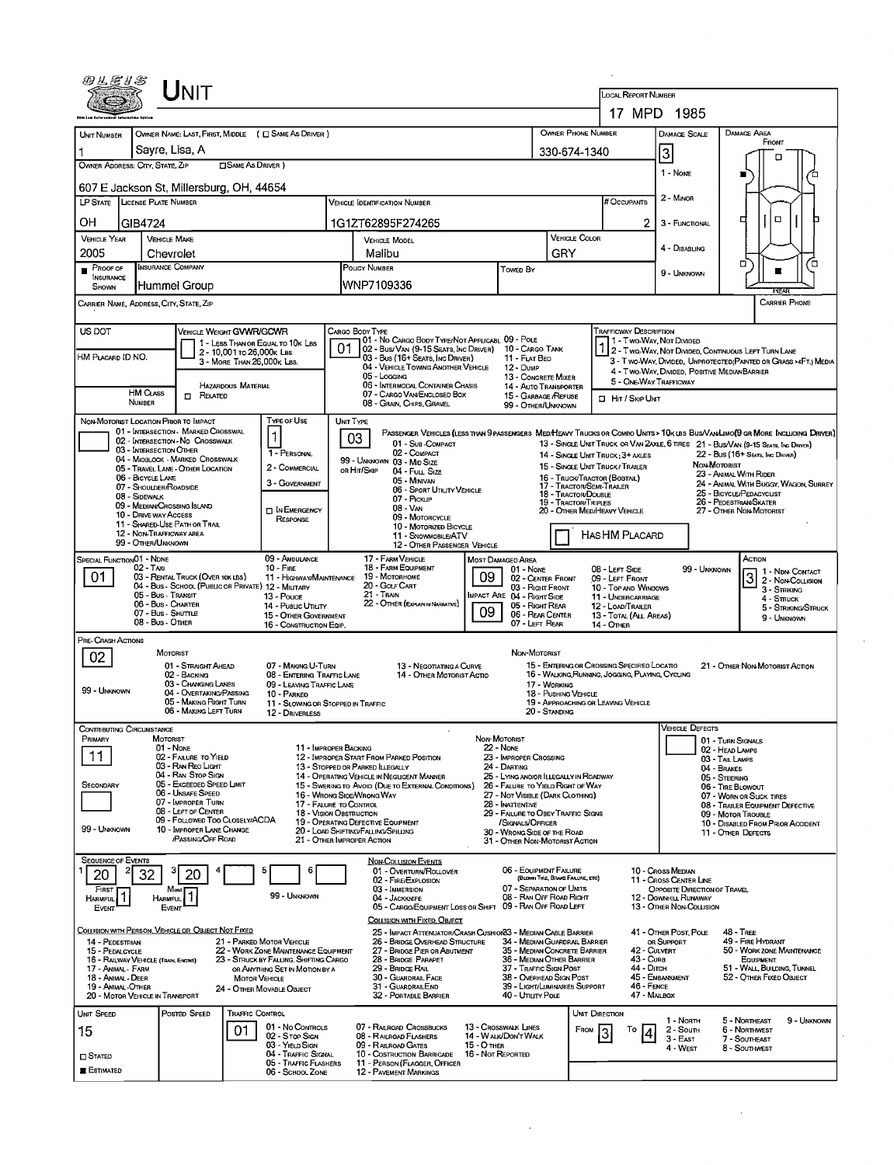|                                                                                                                                                                                  | Unit                                                                                                                                                                                                                                                                                                                                                                                                                      |                                                                                                                                                                                                                                                                                                                                                                                                       | LOCAL REPORT NUMBER                                                                                                                                                                                                                                                                                                                                                                                                                                                                                                                                                                                                                                                                                                                                                                 |                                                                                                                                                                                                                                                                |                                                                                                                                                            |                                                                                                                                                                   |  |  |
|----------------------------------------------------------------------------------------------------------------------------------------------------------------------------------|---------------------------------------------------------------------------------------------------------------------------------------------------------------------------------------------------------------------------------------------------------------------------------------------------------------------------------------------------------------------------------------------------------------------------|-------------------------------------------------------------------------------------------------------------------------------------------------------------------------------------------------------------------------------------------------------------------------------------------------------------------------------------------------------------------------------------------------------|-------------------------------------------------------------------------------------------------------------------------------------------------------------------------------------------------------------------------------------------------------------------------------------------------------------------------------------------------------------------------------------------------------------------------------------------------------------------------------------------------------------------------------------------------------------------------------------------------------------------------------------------------------------------------------------------------------------------------------------------------------------------------------------|----------------------------------------------------------------------------------------------------------------------------------------------------------------------------------------------------------------------------------------------------------------|------------------------------------------------------------------------------------------------------------------------------------------------------------|-------------------------------------------------------------------------------------------------------------------------------------------------------------------|--|--|
|                                                                                                                                                                                  |                                                                                                                                                                                                                                                                                                                                                                                                                           |                                                                                                                                                                                                                                                                                                                                                                                                       |                                                                                                                                                                                                                                                                                                                                                                                                                                                                                                                                                                                                                                                                                                                                                                                     |                                                                                                                                                                                                                                                                | 17 MPD 1985                                                                                                                                                |                                                                                                                                                                   |  |  |
| <b>UNIT NUMBER</b>                                                                                                                                                               | OWNER NAME: LAST, FIRST, MIDDLE ( C SAME AS DRIVER )<br>Savre, Lisa, A                                                                                                                                                                                                                                                                                                                                                    |                                                                                                                                                                                                                                                                                                                                                                                                       |                                                                                                                                                                                                                                                                                                                                                                                                                                                                                                                                                                                                                                                                                                                                                                                     | <b>OWNER PHONE NUMBER</b><br>330-674-1340                                                                                                                                                                                                                      | DAMAGE SCALE<br> 3                                                                                                                                         | DAMAGE AREA<br>FRONT<br>п                                                                                                                                         |  |  |
| OWNER ADDRESS: CITY, STATE, ZIP                                                                                                                                                  | <b>SAME AS DRIVER</b> )                                                                                                                                                                                                                                                                                                                                                                                                   |                                                                                                                                                                                                                                                                                                                                                                                                       |                                                                                                                                                                                                                                                                                                                                                                                                                                                                                                                                                                                                                                                                                                                                                                                     |                                                                                                                                                                                                                                                                | 1 - None                                                                                                                                                   | 'n                                                                                                                                                                |  |  |
|                                                                                                                                                                                  | 607 E Jackson St, Millersburg, OH, 44654                                                                                                                                                                                                                                                                                                                                                                                  |                                                                                                                                                                                                                                                                                                                                                                                                       |                                                                                                                                                                                                                                                                                                                                                                                                                                                                                                                                                                                                                                                                                                                                                                                     |                                                                                                                                                                                                                                                                | 2 - Minon                                                                                                                                                  |                                                                                                                                                                   |  |  |
| LP STATE LICENSE PLATE NUMBER                                                                                                                                                    |                                                                                                                                                                                                                                                                                                                                                                                                                           | <b>VEHICLE IDENTIFICATION NUMBER</b>                                                                                                                                                                                                                                                                                                                                                                  |                                                                                                                                                                                                                                                                                                                                                                                                                                                                                                                                                                                                                                                                                                                                                                                     | # Occupants                                                                                                                                                                                                                                                    |                                                                                                                                                            |                                                                                                                                                                   |  |  |
| ΟН<br>GIB4724                                                                                                                                                                    |                                                                                                                                                                                                                                                                                                                                                                                                                           | 1G1ZT62895F274265                                                                                                                                                                                                                                                                                                                                                                                     |                                                                                                                                                                                                                                                                                                                                                                                                                                                                                                                                                                                                                                                                                                                                                                                     | 2                                                                                                                                                                                                                                                              | 3 - FUNCTIONAL                                                                                                                                             | O.<br>□                                                                                                                                                           |  |  |
| <b>VEHICLE YEAR</b><br>2005                                                                                                                                                      | <b>VEHICLE MAKE</b><br>Chevrolet                                                                                                                                                                                                                                                                                                                                                                                          | <b>VEHICLE MODEL</b><br>Malibu                                                                                                                                                                                                                                                                                                                                                                        |                                                                                                                                                                                                                                                                                                                                                                                                                                                                                                                                                                                                                                                                                                                                                                                     | <b>VEHICLE COLOR</b><br>GRY                                                                                                                                                                                                                                    | 4 - DISABLING                                                                                                                                              |                                                                                                                                                                   |  |  |
| Proof of                                                                                                                                                                         | INSURANCE COMPANY                                                                                                                                                                                                                                                                                                                                                                                                         | POLICY NUMBER                                                                                                                                                                                                                                                                                                                                                                                         | Towed By                                                                                                                                                                                                                                                                                                                                                                                                                                                                                                                                                                                                                                                                                                                                                                            |                                                                                                                                                                                                                                                                |                                                                                                                                                            | α<br>Έ                                                                                                                                                            |  |  |
| <b>INSURANCE</b><br><b>SHOWN</b>                                                                                                                                                 | Hummel Group                                                                                                                                                                                                                                                                                                                                                                                                              | WNP7109336                                                                                                                                                                                                                                                                                                                                                                                            |                                                                                                                                                                                                                                                                                                                                                                                                                                                                                                                                                                                                                                                                                                                                                                                     |                                                                                                                                                                                                                                                                | 9 - UNKNOWN                                                                                                                                                |                                                                                                                                                                   |  |  |
| CARRIER NAME, ADDRESS, CITY, STATE, ZIP                                                                                                                                          |                                                                                                                                                                                                                                                                                                                                                                                                                           |                                                                                                                                                                                                                                                                                                                                                                                                       |                                                                                                                                                                                                                                                                                                                                                                                                                                                                                                                                                                                                                                                                                                                                                                                     |                                                                                                                                                                                                                                                                |                                                                                                                                                            | CARRIER PHONE                                                                                                                                                     |  |  |
| US DOT<br>HM Placard ID NO.                                                                                                                                                      | VEHICLE WEIGHT GVWR/GCWR<br>1 - LESS THAN OR EQUAL TO 10K LBS<br>2 - 10,001 to 26,000k LBS<br>3 - MORE THAN 26,000K LBS.<br><b>HAZARDOUS MATERIAL</b>                                                                                                                                                                                                                                                                     | Cargo Body Type<br>01 - No CARGO BODY TYPE/NOT APPLICABL 09 - POLE<br>01<br>02 - Bus/ Van (9-15 Seats, Inc Driver)<br>03 - Bus (16+ Seats, Inc Driver)<br>04 - VEHICLE TOWING ANOTHER VEHICLE<br>05 - Logging<br>06 - INTERMODAL CONTAINER CHASIS                                                                                                                                                     | 10 - Cargo Tank<br>11 - Flat Beo<br>12 - Dump<br>13 - CONCRETE MIXER<br>14 - AUTO TRANSPORTER                                                                                                                                                                                                                                                                                                                                                                                                                                                                                                                                                                                                                                                                                       | <b>TRAFFICWAY DESCRIPTION</b>                                                                                                                                                                                                                                  | 1 - Two-Way, Not Divided<br>2 - Twg Way, Not Divided, Continuous Left Turn Lane<br>4 - Two-Way, Divided. Positive Median Barrier<br>5 - ONE-WAY TRAFFICWAY | 3 - Two-WAY, DIVIDED, UNPROTECTED (PAINTED OR GRASS >4FT.) MEDIA                                                                                                  |  |  |
| <b>HM CLASS</b><br>NUMBER                                                                                                                                                        | $\Box$ Related                                                                                                                                                                                                                                                                                                                                                                                                            | 07 - CARGO VAN ENCLOSED BOX<br>08 - GRAIN, CHIPS, GRAVEL                                                                                                                                                                                                                                                                                                                                              | 15 - GARBAGE /REFUSE<br>99 - OTHER/UNKNOWN                                                                                                                                                                                                                                                                                                                                                                                                                                                                                                                                                                                                                                                                                                                                          | <b>I HIT / SKIP UNT</b>                                                                                                                                                                                                                                        |                                                                                                                                                            |                                                                                                                                                                   |  |  |
| NON-MOTORIST LOCATION PRIOR TO IMPACT<br>06 - BICYCLE LANE<br>08 - SIDEWALK<br>99 - OTHER/UNKNOWN                                                                                | TYPE OF USE<br>01 - INTERSECTION - MARKED CROSSWAL<br>02 - INTERSECTION - NO CROSSWALK<br>03 - INTERSECTION OTHER<br>1 - PERSONAL<br>04 - MIOBLOCK - MARKED CROSSWALK<br>2 - COMMERCIAL<br>05 - TRAVEL LANE - OTHER LOCATION<br>3 - GOVERNMENT<br>07 - Shoulder/Roadside<br>09 - MEDIAN/CROSSING ISLAND<br>IN EMERGENCY<br>10 - DRIVE WAY ACCESS<br>RESPONSE<br>11 - SHARED-USE PATH OR TRAIL<br>12 - NON-TRAFFICWAY AREA | UNIT TYPE<br>03<br>01 - Sub-COMPACT<br>02 - COMPACT<br>99 - UNKNOWN 03 - MID SIZE<br>OR HIT/SKIP<br>04 - Futt Size<br>05 - MINIVAN<br>07 - PICKUP<br>08 - VAN<br>09 - MOTORCYCLE                                                                                                                                                                                                                      | PASSENGER VEHICLES (LESS THAN 9 PASSENGERS MED/HEAVY TRUCKS OR COMBO UNITS > 10K LBS BUS/VAWLIMO(9 OR MORE INCLUDING DRIVER)<br>13 - SINGLE UNIT TRUCK OR VAN 2AXLE, 6 TIRES 21 - BUS/VAN (9-15 SEATS, INC DRIVER)<br>22 - Bus (16+ Seats, Ing Driver)<br>14 - SINGLE UNIT TRUCK: 3+ AXLES<br>NON-MOTORIST<br>15 - SINGLE UNIT TRUCK/ TRAILER<br>23 - ANIMAL WITH RIDER<br>16 - Truck/Tractor (Bobtal)<br>24 - ANIMAL WITH BUGGY, WAGON, SURREY<br>17 - Tractor/Semi-Trailer<br>06 - SPORT UTILITY VEHICLE<br>25 - BICYCLE/PEDACYCLIST<br>18 - TRACTOR/DOUBLE<br><b>19 - TRACTOR/TRIPLES</b><br>26 - PEDESTRIAN/SKATER<br>20 - OTHER MEDIHEAVY VEHICLE<br>27 - OTHER NON-MOTORIST<br>10 - MOTORIZED BICYCLE<br>HASHM PLACARD<br>11 - SNOWMOBILE/ATV<br>12 - OTHER PASSENGER VEHICLE |                                                                                                                                                                                                                                                                |                                                                                                                                                            |                                                                                                                                                                   |  |  |
| SPECIAL FUNCTION 01 - NONE<br>02 - Taxi<br>01.                                                                                                                                   | 09 - AMBULANCE<br>$10 - F$ ine<br>03 - RENTAL TRUCK (OVER 10K LBS)<br>11 - HIGHWAY/MAINTENANCE<br>04 - Bus - SCHOOL (PUBLIC OR PRIVATE) 12 - MILITARY<br>05 - Bus . TRANSIT<br>13 - Pouce<br>06 - Bus - Charter<br>14 - PuBLIC UTILITY<br>07 - Bus - SHUTTLE<br>15 - OTHER GOVERNMENT<br>08 - Bus - OTHER<br>16 - CONSTRUCTION EQIP.                                                                                      | 17 - FARM VEHICLE<br>18 - FARM EQUIPMENT<br>19 - Мотовноме<br>20 - GOLF CART<br>$21 -$ Train<br>22 - OTHER (EXPLAIN IN NARRATIVE)                                                                                                                                                                                                                                                                     | <b>MOST DAMAGED AREA</b><br>01 - Nome<br>09<br>02 - CENTER FRONT<br>03 - Right Front<br>MPACT ARE 04 - RIGHT SIDE<br>05 - Right REAR<br>09<br>06 - REAR CENTER<br>07 - LEFT REAR                                                                                                                                                                                                                                                                                                                                                                                                                                                                                                                                                                                                    | Астюм<br>08 - LEFT SIDE<br>99 - Unknown<br>3 2 - Non-Contact<br>09 - LEFT FRONT<br>10 - Top and Windows<br>3 - STRIKING<br>11 - UNDERCARRIAGE<br>4 - Struck<br>12 - LOAD/TRAILER<br>5 - STRIKING/STRUCK<br>13 - TOTAL (ALL AREAS)<br>9 - UNKNOWN<br>14 - Отнев |                                                                                                                                                            |                                                                                                                                                                   |  |  |
| PRE-CRASH ACTIONS<br>02<br>99 - UNKNOWN                                                                                                                                          | MOTORIST<br>01 - STRAIGHT AHEAD<br>07 - MAKING U-TURN<br>02 - BACKING<br>08 - ENTERING TRAFFIC LANE<br>03 - CHANGING LANES<br>09 - LEAVING TRAFFIC LANE<br>04 - OVERTAKING/PASSING<br>10 - PARKED<br>05 - MAKING RIGHT TURN<br>06 - MAKING LEFT TURN<br>12 - DRIVERLESS                                                                                                                                                   | 13 - NEGOTIATING A CURVE<br>14 - OTHER MOTORIST ACTIO<br>11 - SLOWING OR STOPPED IN TRAFFIC                                                                                                                                                                                                                                                                                                           | NON-MOTORIST<br>17 - WORKING<br>18 - PUSHING VEHICLE<br>20 - STANDING                                                                                                                                                                                                                                                                                                                                                                                                                                                                                                                                                                                                                                                                                                               | 15 - ENTERING OR CROSSING SPECIFIED LOCATIO<br>16 - WALKING, RUNNING, JOGGING, PLAYING, CYCLING<br>19 - APPROACHING OR LEAVING VEHICLE                                                                                                                         |                                                                                                                                                            | 21 - OTHER NON-MOTORIST ACTION                                                                                                                                    |  |  |
| CONTRIBUTING CIRCUMSTANCE<br>PRIMARY<br>11<br>SECONDARY<br>99 - UNKNOWN                                                                                                          | MOTORIST<br>$01 - None$<br>02 - FAILURE TO YIELD<br>03 - RAN REO LIGHT<br>04 - Ran Stop Sign<br>05 - Exceeded Speed LIMIT<br>06 - UNSAFE SPEED<br>07 - IMPROPER TURN<br>08 - LEFT OF CENTER<br>09 - FOLLOWED TOO CLOSELY/ACDA<br>10 - IMPROPER LANE CHANGE<br><b>PASSING OFF ROAD</b>                                                                                                                                     | 11 - IMPROPER BACKING<br>12 - IMPROPER START FROM PARKED POSITION<br>13 - STOPPED OR PARKED LLEGALLY<br>14 - OPERATING VEHICLE IN NEGLIGENT MANNER<br>15 - SWERING TO AVOID (DUE TO EXTERNAL CONDITIONS)<br>16 - WRONG SIDE WRONG WAY<br>17 - FALURE TO CONTROL<br>18 - VISION OBSTRUCTION<br>19 - OPERATING DEFECTIVE EQUIPMENT<br>20 - LOAD SHIFTING/FALLING/SPILLING<br>21 - OTHER IMPROPER ACTION | NON-MOTORIST<br>22 NONE<br>23 - IMPROPER CROSSING<br>24 - DARTING<br>25 - LYING AND/OR ILLEGALLY IN ROADWAY<br>26 - FALURE TO YIELD RIGHT OF WAY<br>27 - Not Visible (DARK Clothing)<br>28 - INATTENTIVE<br>29 - FAILURE TO OBEY TRAFFIC SIGNS<br>/SIGNALS/OFFICER<br>30 - WRONG SIDE OF THE ROAD<br>31 - OTHER NON-MOTORIST ACTION                                                                                                                                                                                                                                                                                                                                                                                                                                                 |                                                                                                                                                                                                                                                                | <b>VEHICLE DEFECTS</b><br>01 - TURN SIGNALS<br>02 - HEAD LAMPS<br>03 - TAIL LAMPS<br>04 - BRAKES<br>05 - STEERING                                          | 06 - TIRE BLOWOUT<br>07 - WORN OR SUCK TIRES<br>08 - TRAILER EQUIPMENT DEFECTIVE<br>09 - MOTOR TROUBLE<br>10 - DISABLED FROM PRIOR ACCIDENT<br>11 - OTHER DEFECTS |  |  |
| <b>SEQUENCE OF EVENTS</b><br>20<br>32<br>FIRST<br>Π<br><b>HARMFUL</b><br>Event                                                                                                   | 6<br>20<br>Mos<br>99 - UNKNOWN<br><b>HARMFUL</b><br>EVENT                                                                                                                                                                                                                                                                                                                                                                 | <b>NON-COLLISION EVENTS</b><br>01 - OVERTURN/ROLLOVER<br>02 - FIRE/EXPLOSION<br>03 - IMMERSION<br>04 - JACKKNIFE<br>COLLISION WITH FIXED, OBJECT                                                                                                                                                                                                                                                      | 06 - EQUIPMENT FAILURE<br>(BLOWN TIRE, BRAKE FAILURE, ETC)<br>07 - SEPARATION OF UNITS<br>08 - RAN OFF ROAD RIGHT<br>05 - CARGO/EQUIPMENT LOSS OR SHIFT 09 - RAN OFF ROAD LEFT                                                                                                                                                                                                                                                                                                                                                                                                                                                                                                                                                                                                      |                                                                                                                                                                                                                                                                | 10 - Cross Median<br>11 - CROSS CENTER LINE<br>OPPOSITE DIRECTION OF TRAVEL<br>12 - DOWNHILL RUNAWAY<br>13 - OTHER NON-COLLISION                           |                                                                                                                                                                   |  |  |
| 14 - PEDESTRIAN<br>15 - PEDALCYCLE<br>16 - RAILWAY VEHICLE (TRAIN, ENGINE)<br>17 - Animal - Farm<br>18 - Animal - Deer<br>19 - ANIMAL - OTHER<br>20 - MOTOR VEHICLE IN TRANSPORT | COLLISION WITH PERSON, VEHICLE OR OBJECT NOT FIXED<br>21 - PARKED MOTOR VEHICLE<br>22 - WORK ZONE MAINTENANCE EQUIPMENT<br>23 - STRUCK BY FALLING, SHIFTING CARGO<br>OR ANYTHING SET IN MOTION BY A<br><b>MOTOR VEHICLE</b><br>24 - OTHER MOVABLE OBJECT                                                                                                                                                                  | 26 - Bridge Overhead Structure<br>27 - BRIDGE PIER OR ABUTMENT<br>28 - BRIDGE PARAPET<br>29 - BRIDGE RAIL<br>30 - GUARDRAIL FACE<br>31 - GUARDRAILEND<br>32 - PORTABLE BARRIER                                                                                                                                                                                                                        | 25 - IMPACT ATTENUATOR/CRASH CUSHION33 - MEDIAN CABLE BARRIER<br>34 - MEDIAN GUARDRAIL BARRIER<br>35 - MEDIAN CONCRETE BARRIER<br>36 - MEDIAN OTHER BARRIER<br>37 - Traffic Sign Post<br>38 - OVERHEAD SIGN POST<br>39 - LIGHT/LUMINARIES SUPPORT<br>40 - Uπuty Pous                                                                                                                                                                                                                                                                                                                                                                                                                                                                                                                | 43 - Cura<br>44 - Ditch<br>46 - FENCE                                                                                                                                                                                                                          | 41 - OTHER POST, POLE<br>OR SUPPORT<br>42 - CULVERT<br>45 - EMBANKMENT<br>47 - MALBOX                                                                      | $48 - TREF$<br>49 - FIRE HYDRANT<br>50 - WORK ZONE MAINTENANCE<br>EQUIPMENT<br>51 - WALL BUILDING, TUNNEL<br>52 - OTHER FIXED OBJECT                              |  |  |
| UNIT SPEED<br>15<br>$\square$ Stated<br>$\blacksquare$ Estimated                                                                                                                 | Posted Speed<br><b>TRAFFIC CONTROL</b><br>01 - No CONTROLS<br>01<br>02 - Stop Sign<br>03 - YIELD SIGN<br>04 - TRAFFIC SIGNAL<br>05 - TRAFFIC FLASHERS<br>06 - SCHOOL ZONE                                                                                                                                                                                                                                                 | 07 - RALROAD CROSSBUCKS<br>08 - RAILROAD FLASHERS<br>09 - RAILROAD GATES<br>10 - COSTRUCTION BARRICADE<br>11 - PERSON (FLAGGER, OFFICER<br><b>12 - PAVEMENT MARKINGS</b>                                                                                                                                                                                                                              | 13 - Crosswalk Lines<br>14 - WALK/DON'T WALK<br><b>15 - O THER</b><br>16 - Not Reported                                                                                                                                                                                                                                                                                                                                                                                                                                                                                                                                                                                                                                                                                             | UNIT DIRECTION<br>FROM<br>То<br>4                                                                                                                                                                                                                              | 1 - North<br>2 - South<br>3 - East<br>4 - West                                                                                                             | 5 - Northeast<br>9 - UNKNOWN<br>6 - NORTHWEST<br>7 - SOUTHEAST<br>8 - SOUTHWEST                                                                                   |  |  |

 $\sim 10^{-10}$ 

 $\sigma_{\rm{max}}$ 

 $\label{eq:2.1} \frac{1}{\sqrt{2}}\int_{0}^{\infty}\frac{1}{\sqrt{2\pi}}\left(\frac{1}{\sqrt{2\pi}}\right)^{2\alpha} \frac{1}{\sqrt{2\pi}}\int_{0}^{\infty}\frac{1}{\sqrt{2\pi}}\frac{1}{\sqrt{2\pi}}\frac{1}{\sqrt{2\pi}}\frac{1}{\sqrt{2\pi}}\frac{1}{\sqrt{2\pi}}\frac{1}{\sqrt{2\pi}}\frac{1}{\sqrt{2\pi}}\frac{1}{\sqrt{2\pi}}\frac{1}{\sqrt{2\pi}}\frac{1}{\sqrt{2\pi}}\frac{1}{\sqrt{2\pi}}\frac{1}{$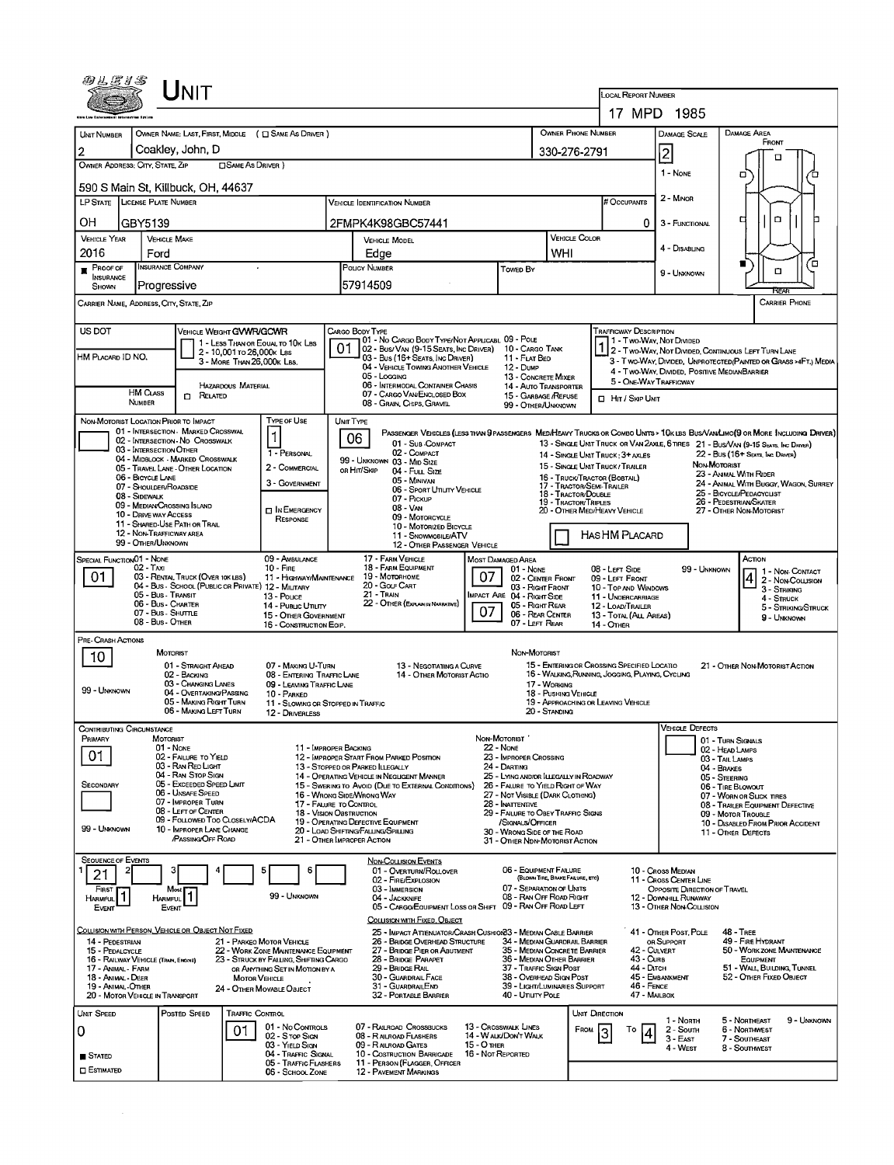| 84 E 1 S                                                                                        |                                             | <b>NIT</b>                                                                   |                            |                                                                          |                                                                                                                                            |                                                                            |                                                                                   |                                                    |                         |                                                                                                                                   |                                                        |                                    |                                                                                    |  |  |
|-------------------------------------------------------------------------------------------------|---------------------------------------------|------------------------------------------------------------------------------|----------------------------|--------------------------------------------------------------------------|--------------------------------------------------------------------------------------------------------------------------------------------|----------------------------------------------------------------------------|-----------------------------------------------------------------------------------|----------------------------------------------------|-------------------------|-----------------------------------------------------------------------------------------------------------------------------------|--------------------------------------------------------|------------------------------------|------------------------------------------------------------------------------------|--|--|
|                                                                                                 |                                             |                                                                              |                            |                                                                          |                                                                                                                                            |                                                                            |                                                                                   |                                                    |                         | LOCAL REPORT NUMBER                                                                                                               | 17 MPD 1985                                            |                                    |                                                                                    |  |  |
|                                                                                                 |                                             |                                                                              |                            |                                                                          |                                                                                                                                            |                                                                            |                                                                                   | OWNER PHONE NUMBER                                 |                         |                                                                                                                                   |                                                        |                                    |                                                                                    |  |  |
| <b>UNIT NUMBER</b>                                                                              |                                             |                                                                              |                            | OWNER NAME: LAST, FIRST, MIDDLE ( C SAME AS DRIVER )                     |                                                                                                                                            |                                                                            |                                                                                   |                                                    |                         |                                                                                                                                   | <b>DAMAGE SCALE</b>                                    |                                    | DAMAGE AREA<br>FRONT                                                               |  |  |
| OWNER ADDRESS; CITY, STATE, ZIP                                                                 |                                             | Coakley, John, D                                                             | <b>CISAME AS DRIVER</b> )  |                                                                          |                                                                                                                                            |                                                                            |                                                                                   |                                                    | 2<br>330-276-2791<br>□  |                                                                                                                                   |                                                        |                                    |                                                                                    |  |  |
|                                                                                                 |                                             |                                                                              |                            |                                                                          |                                                                                                                                            |                                                                            |                                                                                   |                                                    |                         |                                                                                                                                   | 1 - NONE                                               |                                    | о                                                                                  |  |  |
| LP STATE LICENSE PLATE NUMBER                                                                   |                                             | 590 S Main St, Killbuck, OH, 44637                                           |                            |                                                                          | <b>VEHICLE IDENTIFICATION NUMBER</b>                                                                                                       |                                                                            |                                                                                   |                                                    |                         | # Occupants                                                                                                                       | 2 - MINOR                                              |                                    |                                                                                    |  |  |
|                                                                                                 |                                             |                                                                              |                            |                                                                          |                                                                                                                                            |                                                                            |                                                                                   |                                                    |                         |                                                                                                                                   |                                                        |                                    | ο<br>о                                                                             |  |  |
| OН<br><b>VEHICLE YEAR</b>                                                                       | GBY5139                                     | <b>VEHICLE MAKE</b>                                                          |                            |                                                                          | 2FMPK4K98GBC57441<br><b>VEHICLE MODEL</b>                                                                                                  |                                                                            |                                                                                   | <b>VEHICLE COLOR</b>                               |                         | 0                                                                                                                                 | 3 - FUNCTIONAL                                         |                                    |                                                                                    |  |  |
| 2016                                                                                            | Ford                                        |                                                                              |                            |                                                                          | Edge                                                                                                                                       |                                                                            |                                                                                   | WHI                                                |                         |                                                                                                                                   | 4 - DISABLING                                          |                                    |                                                                                    |  |  |
| $P$ ROOF OF<br><b>INSURANCE</b>                                                                 |                                             | INSURANCE COMPANY                                                            |                            |                                                                          | <b>POLICY NUMBER</b>                                                                                                                       |                                                                            | <b>TOWED BY</b>                                                                   |                                                    |                         |                                                                                                                                   | 9 - UNKNOWN                                            |                                    | Έ<br>n<br>O                                                                        |  |  |
| SHOWN                                                                                           |                                             | Progressive                                                                  |                            |                                                                          | 57914509                                                                                                                                   |                                                                            |                                                                                   |                                                    |                         |                                                                                                                                   |                                                        |                                    | REAR                                                                               |  |  |
| CARRIER NAME, ADDRESS, CITY, STATE, ZIP                                                         |                                             |                                                                              |                            |                                                                          |                                                                                                                                            |                                                                            |                                                                                   |                                                    |                         |                                                                                                                                   |                                                        |                                    | <b>CARRIER PHONE</b>                                                               |  |  |
| <b>US DOT</b>                                                                                   |                                             | VEHICLE WEIGHT GVWR/GCWR                                                     |                            |                                                                          | CARGO BODY TYPE<br>01 - No CARGO BODY TYPE/NOT APPLICABL 09 - POLE                                                                         |                                                                            |                                                                                   |                                                    |                         | <b>TRAFFICWAY DESCRIPTION</b><br>1 - Two Way, Not Divided                                                                         |                                                        |                                    |                                                                                    |  |  |
| HM PLACARD ID NO.                                                                               |                                             |                                                                              | 2 - 10,001 to 26,000k Las  | 1 - LESS THAN OR EQUAL TO 10K LBS                                        | 02 - Bus/ Van (9-15 Seats, Inc Driver) 10 - Cargo Tank<br>03 - Bus (16+ Seats, Inc Driver)                                                 |                                                                            | 11 - FLAT BED                                                                     |                                                    |                         |                                                                                                                                   |                                                        |                                    | 2 - Two-Way Not Divided, Continuous Left Turn Lane                                 |  |  |
|                                                                                                 |                                             |                                                                              | 3 - MORE THAN 26,000K LBS. |                                                                          | 04 - VEHICLE TOWING ANOTHER VEHICLE<br>05 - Logging                                                                                        |                                                                            | 12 - Dump<br>13 - CONCRETE MIXER                                                  |                                                    |                         |                                                                                                                                   | 4 - Two-Way, DIVIDED, POSITIVE MEDIANBARRIER           |                                    | 3 - Two-Way, Divided, UNPROTECTED (PAINTED OR GRASS >4FT.) MEDIA                   |  |  |
|                                                                                                 | <b>HM CLASS</b>                             | $\Box$ Related                                                               | HAZARDOUS MATERIAL         |                                                                          | 06 - INTERMODAL CONTAINER CHASIS<br>07 - CARGO VAN ENCLOSED BOX                                                                            |                                                                            | 14 - AUTO TRANSPORTER<br>15 - GARBAGE /REFUSE                                     |                                                    |                         | 5 - ONE-WAY TRAFFICWAY                                                                                                            |                                                        |                                    |                                                                                    |  |  |
|                                                                                                 | NUMBER                                      |                                                                              |                            |                                                                          | 08 - GRAIN, CHIPS, GRAVEL                                                                                                                  |                                                                            | 99 - OTHER/UNKNOWN                                                                |                                                    |                         | <b>□ Hit / Skip Unit</b>                                                                                                          |                                                        |                                    |                                                                                    |  |  |
|                                                                                                 |                                             | NON-MOTORIST LOCATION PRIOR TO IMPACT<br>01 - INTERSECTION - MARKED CROSSWAL |                            | TYPE OF USE                                                              | UNIT TYPE<br>PASSENGER VEHICLES (LESS THAN 9 PASSENGERS MED/HEAVY TRUCKS OR COMBO UNITS > 10K LBS BUS/VAN/LIMO(9 OR MORE INCLUDING DRIVER) |                                                                            |                                                                                   |                                                    |                         |                                                                                                                                   |                                                        |                                    |                                                                                    |  |  |
|                                                                                                 | 03 - INTERSECTION OTHER                     | 02 - INTERSECTION - NO CROSSWALK                                             |                            | $\mathbf{1}$                                                             | 06<br>01 - Sub-COMPACT                                                                                                                     |                                                                            |                                                                                   |                                                    |                         |                                                                                                                                   |                                                        |                                    | 13 - SINGLE UNIT TRUCK OR VAN 2AXLE, 6 TIRES 21 - BUS/VAN (9-15 SEATS, INC DRIVER) |  |  |
|                                                                                                 |                                             | 04 - MIDBLOCK - MARKED CROSSWALK<br>05 - TRAVEL LANE - OTHER LOCATION        |                            | 1 - PERSONAL<br>2 - COMMERCIAL                                           | 02 - COMPACT<br>99 - UNKNOWN 03 - MID SIZE<br>ов Ніт/Ѕкір                                                                                  |                                                                            |                                                                                   |                                                    |                         | 14 - SINGLE UNIT TRUCK ; 3+ AXLES<br>15 - SINGLE UNIT TRUCK/TRAILER                                                               |                                                        | NON MOTORIST                       | 22 - Bus (16+ Seats, Inc. Driver)                                                  |  |  |
|                                                                                                 | 06 - BICYCLE LANE<br>07 - Shoulder/ROADSIDE |                                                                              |                            | 3 - GOVERNMENT                                                           | 04 - Full Size<br>05 - MINIVAN                                                                                                             |                                                                            |                                                                                   | 17 - TRACTOR/SEMI-TRAILER                          |                         | 16 - TRUCK/TRACTOR (BOSTAL)                                                                                                       |                                                        |                                    | 23 - ANIMAL WITH RIDER<br>24 - ANIMAL WITH BUGGY, WAGON, SURREY                    |  |  |
|                                                                                                 | 08 - Sidewalk                               | 09 - MEDIAN CROSSING ISLAND                                                  |                            |                                                                          | 06 - Sport Utility Vehicle<br>07 - Pickup                                                                                                  |                                                                            |                                                                                   | 18 - TRACTOR/DOUBLE<br><b>19 - TRACTOR/TRIPLES</b> |                         | 25 - BICYCLE/PEDACYCLIST<br>26 - PEDESTRIAN/SKATER                                                                                |                                                        |                                    |                                                                                    |  |  |
|                                                                                                 | 10 - DRIVE WAY ACCESS                       | 11 - SHARED-USE PATH OR TRAIL                                                |                            | <b>EIN EMERGENCY</b><br>RESPONSE                                         | 08 - VAN<br>09 - MOTORCYCLE                                                                                                                | 20 - OTHER MED/HEAVY VEHICLE                                               |                                                                                   |                                                    | 27 - OTHER NON-MOTORIST |                                                                                                                                   |                                                        |                                    |                                                                                    |  |  |
|                                                                                                 | 99 - OTHER/UNKNOWN                          | 12 - NON-TRAFFICWAY AREA                                                     |                            |                                                                          | 10 - MOTORIZED BICYCLE<br>11 - SNOWMOBILE/ATV                                                                                              |                                                                            |                                                                                   |                                                    |                         | HAS HM PLACARD                                                                                                                    |                                                        |                                    |                                                                                    |  |  |
| SPECIAL FUNCTION01 - NONE                                                                       |                                             |                                                                              |                            | 09 - AMBULANCE                                                           | 12 - OTHER PASSENGER VEHICLE<br>17 - FARM VEHICLE                                                                                          | <b>MOST DAMAGED AREA</b>                                                   |                                                                                   |                                                    |                         |                                                                                                                                   |                                                        |                                    | Астюм                                                                              |  |  |
| 02 - Taxi<br>$10 -$ Fire<br>03 - RENTAL TRUCK (OVER 10K LBS)<br>01.<br>11 - HIGHWAY/MAINTENANCE |                                             |                                                                              |                            |                                                                          | 18 - FARM EQUIPMENT<br>19 - Мотокноме                                                                                                      | 07                                                                         | 01 - None<br>02 - CENTER FRONT                                                    |                                                    |                         | 08 - LEFT SIDE<br>09 - LEFT FRONT                                                                                                 | 99 - UNKNOWN                                           |                                    | 1 - Non-Contact<br>$42$ - Non Coursion                                             |  |  |
|                                                                                                 |                                             | 04 - Bus - SCHOOL (PUBLIC OR PRIVATE) 12 - MILITARY<br>05 - Bus - Transit    |                            | 13 - Pouce                                                               | 20 - Gour CART<br>21 - TRAIN<br><b>IMPACT ARE 04 - RIGHT SIDE</b>                                                                          |                                                                            | 10 - TOP AND WINDOWS<br>11 - UNDERCARRIAGE                                        | 3 - Striking<br>4 - Struck                         |                         |                                                                                                                                   |                                                        |                                    |                                                                                    |  |  |
|                                                                                                 |                                             | 06 - Bus CHARTER<br>07 - Bus - SHUTTLE                                       |                            | 14 - PuBLIC UTILITY<br>15 - OTHER GOVERNMENT                             | 22 - OTHER (EXPLAIN IN NARRATIVE)<br>07                                                                                                    |                                                                            | 12 - LOAD/TRAILER<br>5 - STRIKING/STRUCK<br>13 - TOTAL (ALL AREAS)<br>9 - UNKNOWN |                                                    |                         |                                                                                                                                   |                                                        |                                    |                                                                                    |  |  |
|                                                                                                 | 08 - Bus - OTHER                            |                                                                              |                            | 16 - CONSTRUCTION EQIP.                                                  |                                                                                                                                            |                                                                            | 07 - LEFT REAR                                                                    |                                                    |                         | 14 - Отнев                                                                                                                        |                                                        |                                    |                                                                                    |  |  |
| PRE-CRASH ACTIONS                                                                               |                                             | <b>MOTORIST</b>                                                              |                            |                                                                          |                                                                                                                                            |                                                                            | NON-MOTORIST                                                                      |                                                    |                         |                                                                                                                                   |                                                        |                                    |                                                                                    |  |  |
| 10                                                                                              |                                             | 01 - STRAIGHT AHEAD<br>02 - BACKING                                          |                            | 07 - MAKING U-TURN<br>08 - ENTERING TRAFFIC LANE                         | 13 - NEGOTIATING A CURVE<br>14 - OTHER MOTORIST ACTIO                                                                                      |                                                                            |                                                                                   |                                                    |                         | 15 - ENTERING OR CROSSING SPECIFIED LOCATIO<br>21 - OTHER NON-MOTORIST ACTION<br>16 - WALKING, RUNNING, JOGGING, PLAYING, CYCLING |                                                        |                                    |                                                                                    |  |  |
| 99 - UNKNOWN                                                                                    |                                             | 03 - CHANGING LANES<br>04 - OVERTAKING/PASSING                               |                            | 09 - LEAVING TRAFFIC LANE                                                |                                                                                                                                            |                                                                            |                                                                                   | 17 - WORKING                                       |                         |                                                                                                                                   |                                                        |                                    |                                                                                    |  |  |
|                                                                                                 |                                             | 05 - MAKING RIGHT TURN<br>06 - MAKING LEFT TURN                              |                            | 10 - PARKED<br>11 - SLOWING OR STOPPED IN TRAFFIC                        |                                                                                                                                            |                                                                            |                                                                                   | 18 - PUSHING VEHICLE<br>20 - Standing              |                         | 19 - APPROACHING OR LEAVING VEHICLE                                                                                               |                                                        |                                    |                                                                                    |  |  |
| <b>CONTRIBUTING CIRCUMSTANCE</b>                                                                |                                             |                                                                              |                            | 12 - DRIVERLESS                                                          |                                                                                                                                            |                                                                            |                                                                                   |                                                    |                         |                                                                                                                                   | <b>VEHICLE DEFECTS</b>                                 |                                    |                                                                                    |  |  |
| Primary                                                                                         |                                             | MOTORIST<br>01 - None                                                        |                            | 11 - IMPROPER BACKING                                                    |                                                                                                                                            | Non-Motorist<br><b>22 - None</b>                                           |                                                                                   |                                                    |                         |                                                                                                                                   |                                                        | 01 - TURN SIGNALS                  |                                                                                    |  |  |
| 01                                                                                              |                                             | 02 - FALURE TO YIELD<br>03 - RAN RED LIGHT                                   |                            |                                                                          | 12 - IMPROPER START FROM PARKED POSITION<br>13 - STOPPED OR PARKED ILLEGALLY                                                               | 23 - IMPROPER CROSSING<br>24 - DARTING                                     |                                                                                   |                                                    |                         |                                                                                                                                   |                                                        | 02 - HEAD LAMPS<br>03 - TAIL LAMPS |                                                                                    |  |  |
| SECONDARY                                                                                       |                                             | 04 - RAN STOP SIGN<br>05 - Exceeped Speed Limit                              |                            |                                                                          | 14 - OPERATING VEHICLE IN NEGLIGENT MANNER<br>15 - Swering to Avoid (Due to External Conditions)                                           | 25 - LYING AND/OR LLEGALLY IN ROADWAY<br>26 - FALURE TO YIELD RIGHT OF WAY |                                                                                   |                                                    |                         |                                                                                                                                   |                                                        | 04 - BRAKES<br>05 - STEERING       |                                                                                    |  |  |
|                                                                                                 |                                             | 06 - UNSAFE SPEED<br>07 - IMPROPER TURN                                      |                            |                                                                          | 16 - WRONG SIDE/WRONG WAY<br>17 - FAURE TO CONTROL                                                                                         | 27 - NOT VISIBLE (DARK CLOTHING)<br>28 - INATTENTIVE                       |                                                                                   |                                                    |                         |                                                                                                                                   |                                                        | 06 - TIRE BLOWOUT                  | 07 - WORN OR SLICK TIRES                                                           |  |  |
|                                                                                                 |                                             | 08 - LEFT OF CENTER<br>09 - FOLLOWED TOO CLOSELY/ACDA                        |                            | 18 - VISION OBSTRUCTION                                                  | 19 - OPERATING DEFECTIVE EQUIPMENT                                                                                                         | 29 - FAILURE TO OBEY TRAFFIC SIGNS                                         | /SIGNALS/OFFICER                                                                  |                                                    |                         |                                                                                                                                   |                                                        |                                    | 08 - TRAILER EQUIPMENT DEFECTIVE<br>09 - MOTOR TROUBLE                             |  |  |
| 99 - UNKNOWN                                                                                    |                                             | 10 - IMPROPER LANE CHANGE<br><b>PASSING OFF ROAD</b>                         |                            |                                                                          | 20 - LOAD SHIFTING/FALLING/SPILLING<br>21 - OTHER IMPROPER ACTION                                                                          | 30 - WRONG SIDE OF THE ROAD<br>31 - OTHER NON-MOTORIST ACTION              |                                                                                   |                                                    |                         |                                                                                                                                   |                                                        |                                    | 10 - DISABLED FROM PRIOR ACCIDENT<br>11 - OTHER DEFECTS                            |  |  |
| <b>SEQUENCE OF EVENTS</b>                                                                       |                                             |                                                                              |                            |                                                                          | NON-COLLISION EVENTS                                                                                                                       |                                                                            |                                                                                   |                                                    |                         |                                                                                                                                   |                                                        |                                    |                                                                                    |  |  |
| 2<br>21                                                                                         |                                             |                                                                              |                            | 6                                                                        | 01 - OVERTURN/ROLLOVER                                                                                                                     |                                                                            | 06 - EQUIPMENT FAILURE                                                            | (BLOWN TIRE, BRAKE FAILURE, ETC)                   |                         |                                                                                                                                   | 10 - Cross Median                                      |                                    |                                                                                    |  |  |
| FIRST                                                                                           |                                             | Most                                                                         |                            | 99 - Unknown                                                             | 02 - FIRE/EXPLOSION<br>03 - IMMERSION                                                                                                      |                                                                            | 07 - SEPARATION OF UNITS<br>08 - RAN OFF ROAD RIGHT                               |                                                    |                         |                                                                                                                                   | 11 - Cross CENTER LINE<br>OPPOSITE DIRECTION OF TRAVEL |                                    |                                                                                    |  |  |
| Harmful<br>Event                                                                                |                                             | <b>HARMFUL</b><br>EVENT                                                      |                            |                                                                          | 04 - JACKKNIFE<br>05 - CARGO/EOUIPMENT LOSS OR SHIFT 09 - RAN OFF ROAD LEFT                                                                |                                                                            |                                                                                   |                                                    |                         |                                                                                                                                   | 12 - DOWNHILL RUNAWAY<br>13 - OTHER NON-COLLISION      |                                    |                                                                                    |  |  |
|                                                                                                 |                                             | COLLISION WITH PERSON, VEHICLE OR OBJECT NOT FIXED                           |                            |                                                                          | COLUSION WITH FIXED, OBJECT<br>25 - IMPACT ATTENUATOR/CRASH CUSHION33 - MEDIAN CABLE BARRIER                                               |                                                                            |                                                                                   |                                                    |                         |                                                                                                                                   | 41 - OTHER POST, POLE                                  |                                    | <b>48 - TREE</b>                                                                   |  |  |
| 14 - PEDESTRIAN<br>15 - PEDALCYCLE                                                              |                                             |                                                                              |                            | 21 - PARKEO MOTOR VEHICLE<br>22 - WORK ZONE MAINTENANCE EQUIPMENT        | 26 - BRIDGE OVERHEAD STRUCTURE<br>27 - BRIDGE PIER OR ABUTMENT                                                                             |                                                                            | 34 - MEDIAN GUARDRAIL BARRIER<br>35 - MEDIAN CONCRETE BARRIER                     |                                                    |                         | 42 - CULVERT                                                                                                                      | OR SUPPORT                                             |                                    | 49 - FIRE HYDRANT<br>50 - WORK ZONE MAINTENANCE                                    |  |  |
| 16 - RAILWAY VEHICLE (TRAIN, ENGINE)<br>17 - Animal - Farm                                      |                                             |                                                                              |                            | 23 - STRUCK BY FALLING, SHIFTING CARGO<br>OR ANYTHING SET IN MOTION BY A | 28 - BRIDGE PARAPET<br>29 BRIDGE RAIL                                                                                                      |                                                                            | 36 - MEDIAN OTHER BARRIER<br>37 - TRAFFIC SIGN POST                               |                                                    |                         | 43 - Curs<br>44 - Олгон                                                                                                           |                                                        |                                    | EQUIPMENT<br>51 - WALL BUILDING, TUNNEL                                            |  |  |
| 18 - ANIMAL - DEER<br>19 - ANIMAL-OTHER                                                         |                                             |                                                                              | <b>MOTOR VEHICLE</b>       | 24 - OTHER MOVABLE OBJECT                                                | 30 - GUARDRAIL FACE<br>31 - GUARDRAILEND                                                                                                   |                                                                            | 38 - Overhead Sign Post<br>39 - LIGHT/LUMINARIES SUPPORT                          |                                                    |                         | 46 - FENCE                                                                                                                        | 45 - EMBANKMENT                                        |                                    | 52 - OTHER FIXED OBJECT                                                            |  |  |
| 20 - MOTOR VEHICLE IN TRANSPORT                                                                 |                                             |                                                                              |                            |                                                                          | 32 - PORTABLE BARRIER                                                                                                                      |                                                                            | 40 - UTIUTY POLE                                                                  |                                                    |                         | 47 - MAILBOX                                                                                                                      |                                                        |                                    |                                                                                    |  |  |
| UNIT SPEED                                                                                      |                                             | Posted Speed                                                                 | TRAFFIC CONTROL            | 01 - No Controls                                                         | 07 - RAILROAD CROSSBUCKS                                                                                                                   | 13 - Crosswalk Lines                                                       |                                                                                   |                                                    | UNIT DIRECTION          |                                                                                                                                   | 1 - North                                              |                                    | 9 - UNKNOWN<br>5 - NORTHEAST                                                       |  |  |
| 0                                                                                               |                                             |                                                                              | 01                         | 02 - Stop Sign<br>03 - YIELD SIGN                                        | 08 - RALROAD FLASHERS<br>09 - RAILROAD GATES                                                                                               | 14 - WALK/DON'T WALK<br><b>15 - O THER</b>                                 |                                                                                   |                                                    | FROM<br>3               | То<br>4                                                                                                                           | 2 - South<br>$3 - EAST$                                |                                    | 6 - Northwest<br>7 - SOUTHEAST                                                     |  |  |
| $S$ TATED                                                                                       |                                             |                                                                              |                            | 04 - TRAFFIC SIGNAL<br>05 - TRAFFIC FLASHERS                             | 10 - Costruction Barricade<br>11 - PERSON (FLAGGER, OFFICER                                                                                | 16 - Not Reported                                                          |                                                                                   |                                                    |                         |                                                                                                                                   | 4 - WEST                                               |                                    | 8 - Southwest                                                                      |  |  |
| <b>ESTIMATED</b>                                                                                |                                             |                                                                              |                            | <b>06 - SCHOOL ZONE</b>                                                  | <b>12 - PAVEMENT MARKINGS</b>                                                                                                              |                                                                            |                                                                                   |                                                    |                         |                                                                                                                                   |                                                        |                                    |                                                                                    |  |  |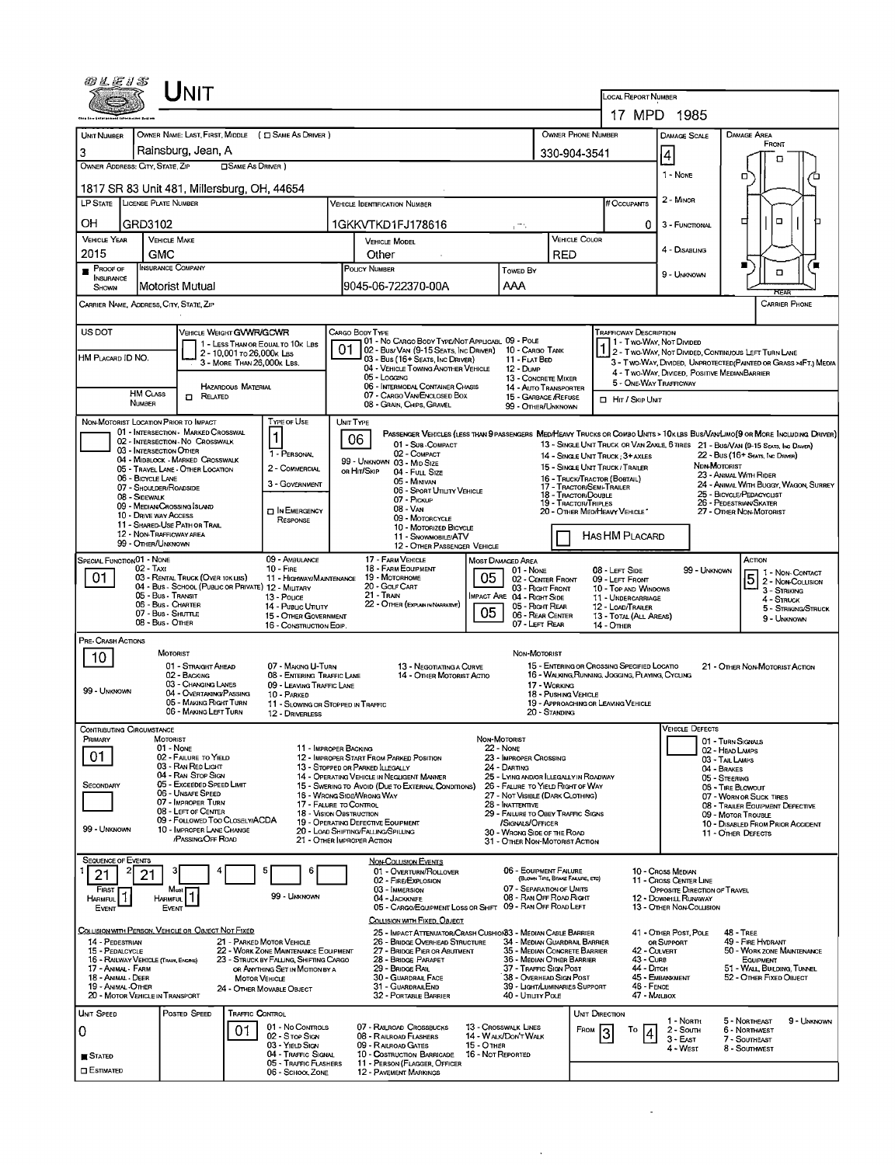| 0 L E I S                                                  |                                          |                                                                         |                                                          |                                                                          |                               |                                                                                                                                                            |                                            |                                                                       |               |                                                  |                                                                                                 |                                                        |                                      |                                                                                                                                                                                                                    |  |  |
|------------------------------------------------------------|------------------------------------------|-------------------------------------------------------------------------|----------------------------------------------------------|--------------------------------------------------------------------------|-------------------------------|------------------------------------------------------------------------------------------------------------------------------------------------------------|--------------------------------------------|-----------------------------------------------------------------------|---------------|--------------------------------------------------|-------------------------------------------------------------------------------------------------|--------------------------------------------------------|--------------------------------------|--------------------------------------------------------------------------------------------------------------------------------------------------------------------------------------------------------------------|--|--|
|                                                            |                                          |                                                                         |                                                          |                                                                          |                               |                                                                                                                                                            |                                            |                                                                       |               |                                                  | LOCAL REPORT NUMBER                                                                             |                                                        |                                      |                                                                                                                                                                                                                    |  |  |
|                                                            |                                          |                                                                         |                                                          |                                                                          |                               |                                                                                                                                                            |                                            |                                                                       |               | OWNER PHONE NUMBER                               |                                                                                                 | 17 MPD 1985                                            |                                      |                                                                                                                                                                                                                    |  |  |
| <b>UNIT NUMBER</b><br>3                                    |                                          | Rainsburg, Jean, A                                                      |                                                          | OWNER NAME: LAST, FIRST, MIDDLE ( C SAME AS DRIVER )                     |                               |                                                                                                                                                            |                                            |                                                                       |               |                                                  |                                                                                                 | <b>DAMAGE SCALE</b>                                    |                                      | <b>DAMAGE AREA</b><br>FRONT                                                                                                                                                                                        |  |  |
| OWNER ADDRESS: CITY, STATE, ZIP                            |                                          |                                                                         | <b>CISAME AS DRIVER</b>                                  |                                                                          |                               |                                                                                                                                                            |                                            |                                                                       |               | 330-904-3541                                     |                                                                                                 | 4                                                      |                                      | O                                                                                                                                                                                                                  |  |  |
| 1817 SR 83 Unit 481, Millersburg, OH, 44654                |                                          |                                                                         |                                                          |                                                                          |                               |                                                                                                                                                            |                                            |                                                                       |               |                                                  |                                                                                                 | 1 - None                                               |                                      | о                                                                                                                                                                                                                  |  |  |
| LP STATE LICENSE PLATE NUMBER                              |                                          |                                                                         |                                                          |                                                                          |                               | Vehicle Identification Number                                                                                                                              |                                            |                                                                       |               |                                                  | # Occupants                                                                                     | 2 - MINOR                                              |                                      |                                                                                                                                                                                                                    |  |  |
| OН                                                         | GRD3102                                  |                                                                         |                                                          |                                                                          |                               | 1GKKVTKD1FJ178616                                                                                                                                          |                                            |                                                                       |               |                                                  | 0                                                                                               | 3 - FUNCTIONAL                                         |                                      | $\Box$<br>п                                                                                                                                                                                                        |  |  |
| <b>VEHICLE YEAR</b>                                        | <b>VEHICLE MAKE</b>                      |                                                                         |                                                          |                                                                          | <b>VEHICLE MODEL</b>          |                                                                                                                                                            |                                            |                                                                       |               | <b>VEHICLE COLOR</b>                             |                                                                                                 |                                                        |                                      |                                                                                                                                                                                                                    |  |  |
| 2015                                                       | GMC<br>INSURANCE COMPANY                 |                                                                         |                                                          |                                                                          | Other<br><b>POLICY NUMBER</b> |                                                                                                                                                            |                                            |                                                                       |               | RED                                              | 4 - DISABLING                                                                                   |                                                        |                                      |                                                                                                                                                                                                                    |  |  |
| $P$ ROOF OF<br>INSURANCE                                   |                                          | Motorist Mutual                                                         |                                                          |                                                                          |                               | Towen By<br>AAA<br>l9045-06-722370-00A                                                                                                                     |                                            |                                                                       |               |                                                  |                                                                                                 | 9 - UNKNOWN                                            |                                      | $\Box$                                                                                                                                                                                                             |  |  |
| SHOWN<br>CARRIER NAME, ADDRESS, CITY, STATE, ZIP           |                                          |                                                                         |                                                          |                                                                          |                               |                                                                                                                                                            |                                            |                                                                       |               |                                                  |                                                                                                 |                                                        |                                      | <b>REAR</b><br><b>CARRIER PHONE</b>                                                                                                                                                                                |  |  |
|                                                            |                                          |                                                                         |                                                          |                                                                          |                               |                                                                                                                                                            |                                            |                                                                       |               |                                                  |                                                                                                 |                                                        |                                      |                                                                                                                                                                                                                    |  |  |
| US DOT                                                     |                                          | VEHICLE WEIGHT GVWR/GCWR                                                |                                                          | 1 - LESS THAN OR EQUAL TO 10K LBS                                        |                               | CARGO BODY TYPE<br>01 - No CARGO BODY TYPE/NOT APPLICABL 09 - POLE                                                                                         |                                            |                                                                       |               |                                                  | <b>TRAFFICWAY DESCRIPTION</b>                                                                   | 1 - Two-Way, Not Divided                               |                                      |                                                                                                                                                                                                                    |  |  |
| HM Placard ID NO.                                          |                                          |                                                                         | 2 - 10,001 To 26,000 K LBS<br>3 - MORE THAN 26,000K LBS. |                                                                          | 01                            | 02 - Bus/ VAN (9-15 SEATS, INC DRIVER)<br>03 - Bus (16+ SEATS, INC DRIVER)                                                                                 |                                            | 10 - CARGO TANK<br>11 - Flat Bed                                      |               |                                                  |                                                                                                 |                                                        |                                      | 1 2 - Two-Way, Not Divided, Continuous Left Turn Lane<br>3 - Two-Way, DIVIDED, UNPROTECTED(PAINTED OR GRASS >4FT.) MEDIA                                                                                           |  |  |
|                                                            |                                          |                                                                         |                                                          |                                                                          |                               | 04 - VEHICLE TOWING ANOTHER VEHICLE<br>05 - Logging                                                                                                        |                                            | 12 - Dump<br>13 - CONCRETE MIXER                                      |               |                                                  | 5 - ONE-WAY TRAFFICWAY                                                                          | 4 - Two-WAY, DIVIDED, POSITIVE MEDIANBARRIER           |                                      |                                                                                                                                                                                                                    |  |  |
|                                                            | <b>HM CLASS</b><br>NUMBER                | $R_{\text{ELATED}}$                                                     | <b>HAZARDOUS MATERIAL</b>                                |                                                                          |                               | 06 - INTERMODAL CONTAINER CHASIS<br>07 - CARGO VAN/ENCLOSED BOX<br>08 - GRAIN, CHIPS, GRAVEL                                                               |                                            | 14 - AUTO TRANSPORTER<br>15 - GARBAGE /REFUSE                         |               |                                                  | <b>D</b> Hr / Skip UNIT                                                                         |                                                        |                                      |                                                                                                                                                                                                                    |  |  |
| NON-MOTORIST LOCATION PRIOR TO IMPACT                      |                                          |                                                                         |                                                          | <b>TYPE OF USE</b>                                                       | UNIT TYPE                     |                                                                                                                                                            |                                            | 99 - OTHER/UNKNOWN                                                    |               |                                                  |                                                                                                 |                                                        |                                      |                                                                                                                                                                                                                    |  |  |
|                                                            |                                          | 01 - INTERSECTION - MARKED CROSSWAL<br>02 - INTERSECTION - NO CROSSWALK |                                                          |                                                                          | 06                            | 01 - Sub-Compact                                                                                                                                           |                                            |                                                                       |               |                                                  |                                                                                                 |                                                        |                                      | PASSENGER VEHICLES (LESS THAN 9 PASSENGERS MED/HEAVY TRUCKS OR COMBO UNITS > 10K LBS BUS/VAV/LIMO(9 OR MORE INCLUDING DRIVER)<br>13 - SINGLE UNIT TRUCK OR VAN 2AXLE, 6 TIRES 21 - BUS/VAN (9-15 SEATS, INC DAVER) |  |  |
|                                                            | 03 - INTERSECTION OTHER                  | 04 - MIDBLOCK - MARKED CROSSWALK                                        |                                                          | 1 - PERSONAL                                                             |                               | 02 - COMPACT<br>99 - UNKNOWN 03 - MID SIZE                                                                                                                 |                                            |                                                                       |               |                                                  | 14 - SINGLE UNIT TRUCK; 3+ AXLES                                                                |                                                        |                                      | 22 - Bus (16+ Seats, Inc. Driver)                                                                                                                                                                                  |  |  |
|                                                            | 06 - BICYCLE LANE                        | 05 - TRAVEL LANE - OTHER LOCATION                                       |                                                          | 2 - COMMERCIAL                                                           |                               | OR HIT/SKIP<br>04 - Full Size<br>05 - MINIVAN                                                                                                              |                                            |                                                                       |               |                                                  | 15 - SINGLE UNIT TRUCK / TRAILER<br>16 - TRUCK/TRACTOR (BOBTAIL)                                |                                                        | NDN-MOTORIST                         | 23 - ANIMAL WITH RIDER                                                                                                                                                                                             |  |  |
|                                                            | 07 - Shoulder/Roadside<br>08 - Sidewalk  |                                                                         |                                                          | 3 - GOVERNMENT                                                           |                               | 06 - Sport UTILITY VEHICLE<br>07 - Pickup                                                                                                                  |                                            |                                                                       |               | 17 - TRACTOR/SEMI-TRAILER<br>18 - TRACTOR/DOUBLE |                                                                                                 |                                                        |                                      | 24 - ANIMAL WITH BUGGY, WAGON, SURREY<br>25 - BICYCLE/PEDACYCLIST                                                                                                                                                  |  |  |
|                                                            | 10 - DRIVE WAY ACCESS                    | 09 - MEDIAN CROSSING ISLAND                                             |                                                          | <b>DIN EMERGENCY</b><br>RESPONSE                                         |                               | 08 - VAN<br>09 - MOTORCYCLE                                                                                                                                |                                            |                                                                       |               | <b>19 - TRACTOR/TRIPLES</b>                      | 20 - OTHER MED/HEAVY VEHICLE                                                                    |                                                        |                                      | 26 - Pedestrian/Skater<br>27 - OTHER NON-MOTORIST                                                                                                                                                                  |  |  |
|                                                            | 12 - NON-TRAFFICWAY AREA                 | 11 - SHARED-USE PATH OR TRAIL                                           |                                                          |                                                                          |                               | 10 - MOTORIZED BICYCLE<br>11 - SNOWMOBILE/ATV                                                                                                              |                                            |                                                                       |               |                                                  | HAS HM PLACARD                                                                                  |                                                        |                                      |                                                                                                                                                                                                                    |  |  |
| SPECIAL FUNCTION 01 - NONE                                 | 99 - OTHER/UNKNOWN                       |                                                                         |                                                          | 09 - AMBULANCE                                                           |                               | 12 - OTHER PASSENGER VEHICLE<br>17 - FARM VEHICLE                                                                                                          |                                            | MOST DAMAGED AREA                                                     |               |                                                  |                                                                                                 |                                                        |                                      |                                                                                                                                                                                                                    |  |  |
| 01                                                         | 02 - TAXI                                | 03 - RENTAL TRUCK (OVER 10K LBS)                                        |                                                          | $10 -$ FIRE<br>11 - Highway/Maintenance                                  |                               | 18 - FARM EQUIPMENT<br>19 - Мотовноме                                                                                                                      | 05                                         | 01 - NONE<br>02 - CENTER FRONT                                        |               |                                                  | 08 - LEFT SIDE<br>09 - LEFT FRONT                                                               |                                                        | 99 - UNKNOWN                         | $\begin{bmatrix} 5 & 1 - \text{Non-Conrac} \\ 2 - \text{Non-Conrac} \end{bmatrix}$                                                                                                                                 |  |  |
|                                                            | 05 - Bus - Transit                       |                                                                         |                                                          | 04 - Bus - School (Public or Private) 12 - MILITARY<br>13 - Pouce        |                               | 20 - GOLF CART<br>21 - TRAIN                                                                                                                               | 10 - TOP AND WINDOWS<br>11 - UNDERCARRIAGE |                                                                       |               | 3 - STRIKING<br>4 - STRUCK                       |                                                                                                 |                                                        |                                      |                                                                                                                                                                                                                    |  |  |
|                                                            | 06 - Bus - Charter<br>07 - Bus - SHUTTLE |                                                                         |                                                          | 14 - PuBLIC UTILITY<br>15 - OTHER GOVERNMENT                             |                               | MPACT ARE 04 - RIGHT SIDE<br>22 - OTHER (EXPLAIN IN NARRATIVE)<br>05 - RIGHT REAR<br>12 - LOAD/TRAILER<br>05<br>06 - REAR CENTER<br>13 - TOTAL (ALL AREAS) |                                            |                                                                       |               |                                                  |                                                                                                 |                                                        |                                      | 5 - STRIKING/STRUCK<br>9 - UNKNOWN                                                                                                                                                                                 |  |  |
|                                                            | 08 - Bus - OTHER                         |                                                                         |                                                          | 16 - CONSTRUCTION EOIP.                                                  |                               |                                                                                                                                                            |                                            | 07 - LEFT REAR                                                        |               |                                                  | <b>14 - OTHER</b>                                                                               |                                                        |                                      |                                                                                                                                                                                                                    |  |  |
| PRE- CRASH ACTIONS<br>10                                   | MOTORIST                                 |                                                                         |                                                          |                                                                          |                               |                                                                                                                                                            |                                            | NON-MOTORIST                                                          |               |                                                  |                                                                                                 |                                                        |                                      |                                                                                                                                                                                                                    |  |  |
|                                                            |                                          | 01 - STRAIGHT AHEAD<br>02 - BACKING                                     |                                                          | 07 - MAKING U-TURN<br>08 - ENTERING TRAFFIC LANE                         |                               | 13 - NEGOTIATING A CURVE<br>14 - Other Motorist Actio                                                                                                      |                                            |                                                                       |               |                                                  | 15 - ENTERING OR CROSSING SPECIFIED LOCATIO<br>16 - WALKING, RUNNING, JOGGING, PLAYING, CYCLING |                                                        |                                      | 21 - OTHER NON-MOTORIST ACTION                                                                                                                                                                                     |  |  |
| 99 - UNKNOWN                                               |                                          | 03 - CHANGING LANES<br>04 - Overtaking/Passing                          |                                                          | 09 - LEAVING TRAFFIC LANE<br>10 - PARKED                                 |                               |                                                                                                                                                            |                                            |                                                                       | 17 - WORKING  | 18 - Pushing Vehicle                             |                                                                                                 |                                                        |                                      |                                                                                                                                                                                                                    |  |  |
|                                                            |                                          | 05 - MAKING RIGHT TURN<br>06 - MAKING LEFT TURN                         |                                                          | 11 - SLOWING OR STOPPED IN TRAFFIC<br>12 - DRIVERLESS                    |                               |                                                                                                                                                            |                                            |                                                                       | 20 - STANDING |                                                  | 19 - APPROACHING OR LEAVING VEHICLE                                                             |                                                        |                                      |                                                                                                                                                                                                                    |  |  |
| <b>CONTRIBUTING CIRCUMSTANCE</b>                           |                                          |                                                                         |                                                          |                                                                          |                               |                                                                                                                                                            |                                            |                                                                       |               |                                                  |                                                                                                 | <b>VEHICLE DEFECTS</b>                                 |                                      |                                                                                                                                                                                                                    |  |  |
| Primary<br>01                                              | MOTORIST<br>01 - None                    | 02 - FAILURE TO YIELD                                                   |                                                          | 11 - IMPROPER BACKING                                                    |                               | 12 - IMPROPER START FROM PARKED POSITION                                                                                                                   |                                            | NON-MOTORIST<br><b>22 - NONE</b><br>23 - IMPROPER CROSSING            |               |                                                  |                                                                                                 |                                                        | 01 - TURN SIGNALS<br>02 - HEAD LAMPS |                                                                                                                                                                                                                    |  |  |
|                                                            |                                          | 03 - RAN RED LIGHT<br>04 - RAN STOP SIGN                                |                                                          |                                                                          |                               | 13 - STOPPED OR PARKED LLEGALLY<br>14 - OPERATING VEHICLE IN NEGLIGENT MANNER                                                                              |                                            | 24 - DARTING<br>25 - LYING AND/OR LLEGALLY IN ROADWAY                 |               |                                                  |                                                                                                 |                                                        | 03 - TAIL LAMPS<br>04 - BRAKES       |                                                                                                                                                                                                                    |  |  |
| SECONDARY                                                  |                                          | 05 - Exceeded Speed LIMIT<br>06 - UNSAFE SPEED                          |                                                          |                                                                          |                               | 15 - SWERING TO AVOID (DUE TO EXTERNAL CONDITIONS)<br>16 - Wrong Side/Wrong Way                                                                            |                                            | 26 - FALURE TO YIELD RIGHT OF WAY<br>27 - NOT VISIBLE (DARK CLOTHING) |               |                                                  |                                                                                                 |                                                        | 05 - STEERING<br>06 - TIRE BLOWOUT   | 07 - WORN OR SLICK TIRES                                                                                                                                                                                           |  |  |
|                                                            |                                          | 07 - IMPROPER TURN<br>08 - LEFT OF CENTER                               |                                                          | 17 - FALURE TO CONTROL<br><b>18 - VISION OBSTRUCTION</b>                 |                               |                                                                                                                                                            |                                            | 28 - INATTENTIVE<br>29 - FAILURE TO OBEY TRAFFIC SIGNS                |               |                                                  |                                                                                                 |                                                        |                                      | 08 - TRAILER EQUIPMENT DEFECTIVE<br>09 - MOTOR TROUBLE                                                                                                                                                             |  |  |
| 99 - UNKNOWN                                               |                                          | 09 - FOLLOWED TOO CLOSELY/ACDA<br>10 - IMPROPER LANE CHANGE             |                                                          |                                                                          |                               | 19 - OPERATING DEFECTIVE EQUIPMENT<br>20 - LOAD SHIFTING/FALLING/SPILLING                                                                                  |                                            | /SIGNALS/OFFICER<br>30 - WRONG SIDE OF THE ROAD                       |               |                                                  |                                                                                                 |                                                        |                                      | 10 - DISABLED FROM PRIOR ACCIDENT<br>11 - OTHER DEFECTS                                                                                                                                                            |  |  |
|                                                            |                                          | <b>/PASSINGOFF ROAD</b>                                                 |                                                          |                                                                          |                               | 21 - OTHER IMPROPER ACTION                                                                                                                                 |                                            | 31 - OTHER NON-MOTORIST ACTION                                        |               |                                                  |                                                                                                 |                                                        |                                      |                                                                                                                                                                                                                    |  |  |
| <b>SEQUENCE OF EVENTS</b><br>21                            | 21                                       |                                                                         |                                                          | 6                                                                        |                               | <b>NON-COLLISION EVENTS</b><br>01 - OVERTURN/ROLLOVER                                                                                                      |                                            | 06 - EQUIPMENT FAILURE                                                |               |                                                  |                                                                                                 | 10 - Cross Median                                      |                                      |                                                                                                                                                                                                                    |  |  |
| FIRST                                                      |                                          | Most                                                                    |                                                          |                                                                          |                               | 02 - FIRE/EXPLOSION<br>03 - IMMERSION                                                                                                                      |                                            | 07 - SEPARATION OF UNITS                                              |               | (BLOWN TIRE, BRAKE FAILURE, ETC)                 |                                                                                                 | 11 - Cross CENTER LINE<br>OPPOSITE DIRECTION OF TRAVEL |                                      |                                                                                                                                                                                                                    |  |  |
| <b>HARMFUL</b><br>EVENT                                    | HARMFUL<br>EVENT                         |                                                                         |                                                          | 99 - UNKNOWN                                                             |                               | 04 - JACKKNIFE<br>05 - CARGO/EQUIPMENT LOSS OR SHIFT 09 - RAN OFF ROAD LEFT                                                                                |                                            | 08 - RAN OFF ROAD RIGHT                                               |               |                                                  |                                                                                                 | 12 - DOWNHILL RUNAWAY<br>13 - OTHER NON-COLLISION      |                                      |                                                                                                                                                                                                                    |  |  |
| <u>COLLISION WITH PERSON, VEHICLE OR OBJECT NOT FIXED</u>  |                                          |                                                                         |                                                          |                                                                          |                               | COLLISION WITH FIXED, OBJECT<br>25 - IMPACT ATTENUATOR/CRASH CUSHION33 - MEDIAN CABLE BARRIER                                                              |                                            |                                                                       |               |                                                  |                                                                                                 | 41 - OTHER POST, POLE                                  |                                      | 48 - TREE                                                                                                                                                                                                          |  |  |
| 14 - PEDESTRIAN<br>15 - PEDALCYCLE                         |                                          |                                                                         |                                                          | 21 - PARKED MOTOR VEHICLE<br>22 - WORK ZONE MAINTENANCE EQUIPMENT        |                               | 26 - BRIDGE OVERHEAD STRUCTURE<br>27 - BRIDGE PIER OR ABUTMENT                                                                                             |                                            | 34 - MEDIAN GUARDRAIL BARRIER<br>35 - MEDIAN CONCRETE BARRIER         |               |                                                  |                                                                                                 | OR SUPPORT<br>42 - CULVERT                             |                                      | 49 - FIRE HYDRANT<br>50 - WORK ZONE MAINTENANCE                                                                                                                                                                    |  |  |
| 16 - RAILWAY VEHICLE (TRAIN, ENGINE)<br>17 - Animal - Farm |                                          |                                                                         |                                                          | 23 - STRUCK BY FALLING, SHIFTING CARGO<br>OR ANYTHING SET IN MOTION BY A |                               | 28 - BRIDGE PARAPET<br>29 - BRIDGE RAIL                                                                                                                    |                                            | 36 - MEDIAN OTHER BARRIER<br>37 - Traffic Sign Post                   |               |                                                  | 43 - Curs<br>44 - Олтон                                                                         |                                                        |                                      | EQUIPMENT<br>51 - WALL BUILDING, TUNNEL                                                                                                                                                                            |  |  |
| 18 - ANIMAL - DEER<br>19 - ANIMAL-OTHER                    |                                          |                                                                         | <b>MOTOR VEHICLE</b>                                     | 24 - OTHER MOVABLE OBJECT                                                |                               | 30 - GUARDRAIL FACE<br>31 - GUARDRAILEND                                                                                                                   |                                            | 38 - Overhead Sign Post<br>39 - LIGHT/LUMINARIES SUPPORT              |               |                                                  | 46 - FENCE                                                                                      | 45 - EMBANKMENT                                        |                                      | 52 - OTHER FIXED OBJECT                                                                                                                                                                                            |  |  |
| 20 - MOTOR VEHICLE IN TRANSPORT<br>UNIT SPEED              |                                          | Posted Speed                                                            | TRAFFIC CONTROL                                          |                                                                          |                               | 32 - PORTABLE BARRIER                                                                                                                                      |                                            | 40 - Unury Pous                                                       |               | Unit Direction                                   | 47 - MAILBOX                                                                                    |                                                        |                                      |                                                                                                                                                                                                                    |  |  |
| 0                                                          |                                          |                                                                         | 01                                                       | 01 - No CONTROLS                                                         |                               | 07 - RAILROAD CROSSBUCKS                                                                                                                                   |                                            | <b>13 - CROSSWALK LINES</b>                                           |               | FROM                                             | То                                                                                              | 1 - North<br>2 - South                                 |                                      | 5 - NORTHEAST<br>9 - UNKNOWN<br>6 - NORTHWEST                                                                                                                                                                      |  |  |
|                                                            |                                          |                                                                         |                                                          | 02 - S TOP SIGN<br>03 - YIELD SIGN                                       |                               | 08 - RAILROAD FLASHERS<br>09 - RALROAD GATES                                                                                                               | 15 - OTHER                                 | 14 - WALK/DON'T WALK                                                  |               |                                                  | 3<br>4                                                                                          | $3 -$ EAST<br>4 - West                                 |                                      | 7 - SOUTHEAST<br>8 - SOUTHWEST                                                                                                                                                                                     |  |  |
| <b>STATED</b><br><b>ESTIMATED</b>                          |                                          |                                                                         |                                                          | 04 - TRAFFIC SIGNAL<br>05 - TRAFFIC FLASHERS<br>06 - SCHOOL ZONE         |                               | 10 - Costruction Barricade<br>11 - PERSON (FLAGGER, OFFICER<br><b>12 - PAVEMENT MARKINGS</b>                                                               | 16 - Not Reported                          |                                                                       |               |                                                  |                                                                                                 |                                                        |                                      |                                                                                                                                                                                                                    |  |  |
|                                                            |                                          |                                                                         |                                                          |                                                                          |                               |                                                                                                                                                            |                                            |                                                                       |               |                                                  |                                                                                                 |                                                        |                                      |                                                                                                                                                                                                                    |  |  |

 $\bar{\beta}$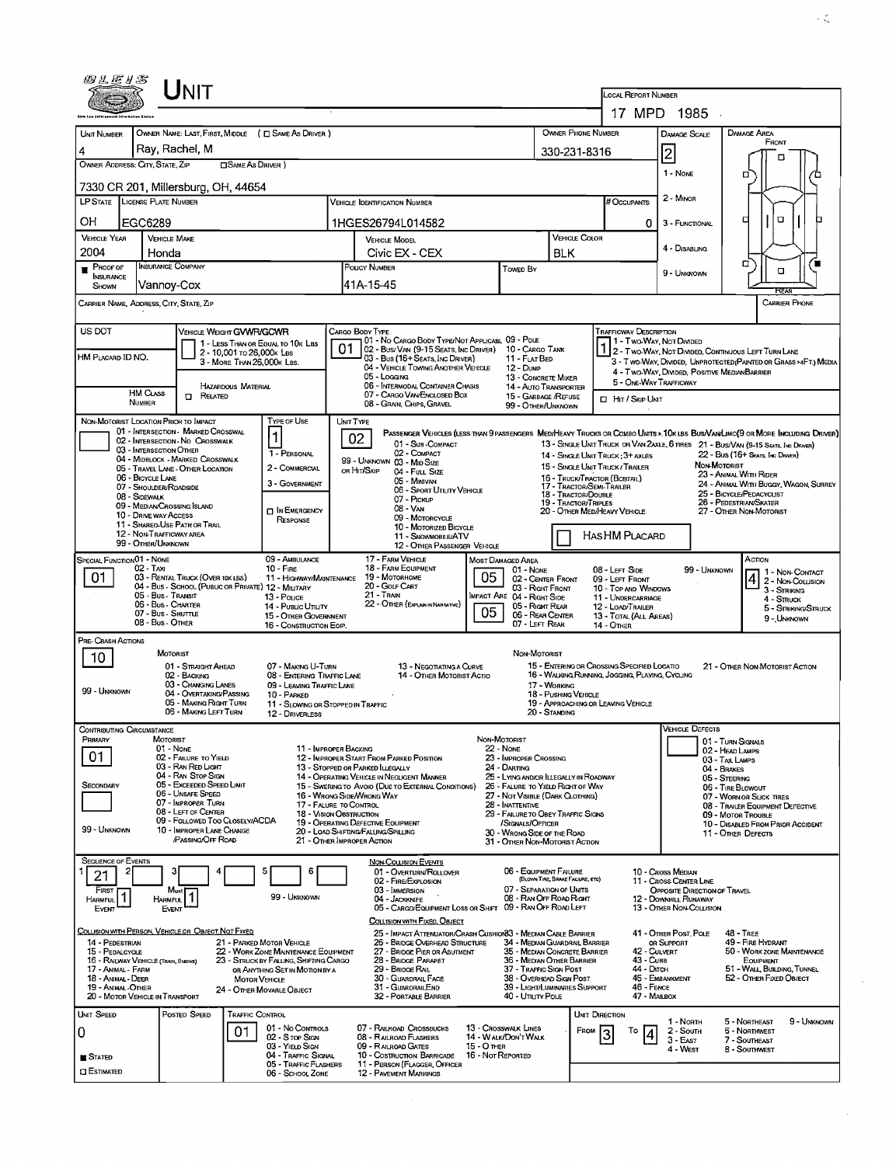| のとだりS                                                                 |                                          | Unit                                                                    |                                                          |                                                                                |                                              |                                                                                                                              |                                                                                                                          |                                                                                    |                                                                                                    |                |                                                                                                 |                                                          |                                                                                                                                                        |  |  |  |
|-----------------------------------------------------------------------|------------------------------------------|-------------------------------------------------------------------------|----------------------------------------------------------|--------------------------------------------------------------------------------|----------------------------------------------|------------------------------------------------------------------------------------------------------------------------------|--------------------------------------------------------------------------------------------------------------------------|------------------------------------------------------------------------------------|----------------------------------------------------------------------------------------------------|----------------|-------------------------------------------------------------------------------------------------|----------------------------------------------------------|--------------------------------------------------------------------------------------------------------------------------------------------------------|--|--|--|
|                                                                       |                                          |                                                                         |                                                          |                                                                                |                                              |                                                                                                                              |                                                                                                                          |                                                                                    |                                                                                                    |                | LOCAL REPORT NUMBER                                                                             |                                                          |                                                                                                                                                        |  |  |  |
|                                                                       |                                          |                                                                         |                                                          |                                                                                |                                              |                                                                                                                              |                                                                                                                          |                                                                                    |                                                                                                    |                |                                                                                                 | 17 MPD 1985                                              |                                                                                                                                                        |  |  |  |
| UNIT NUMBER                                                           | Ray, Rachel, M                           |                                                                         |                                                          | OWNER NAME: LAST, FIRST, MIDDLE ( EL SAME AS DRIVER )                          |                                              |                                                                                                                              |                                                                                                                          |                                                                                    | <b>OWNER PHONE NUMBER</b>                                                                          |                |                                                                                                 | DAMAGE SCALE                                             | <b>DAMAGE AREA</b><br>FRONT                                                                                                                            |  |  |  |
| 4<br>OWNER ADDRESS: CITY, STATE, ZIP                                  |                                          |                                                                         | <b>SAME AS DRIVER</b> )                                  |                                                                                |                                              |                                                                                                                              |                                                                                                                          |                                                                                    | 330-231-8316                                                                                       |                |                                                                                                 | 2                                                        | п                                                                                                                                                      |  |  |  |
| 7330 CR 201, Millersburg, OH, 44654                                   |                                          |                                                                         |                                                          |                                                                                |                                              |                                                                                                                              |                                                                                                                          |                                                                                    |                                                                                                    |                |                                                                                                 | 1 - None                                                 | п                                                                                                                                                      |  |  |  |
| LP STATE LICENSE PLATE NUMBER                                         |                                          |                                                                         |                                                          |                                                                                |                                              | <b>VEHICLE IDENTIFICATION NUMBER</b>                                                                                         |                                                                                                                          |                                                                                    |                                                                                                    |                | # Occupants                                                                                     | 2 - MINOR                                                |                                                                                                                                                        |  |  |  |
| OН                                                                    | EGC6289                                  |                                                                         |                                                          |                                                                                |                                              | 1HGES26794L014582                                                                                                            |                                                                                                                          |                                                                                    |                                                                                                    |                | 0                                                                                               | 3 - FUNCTIONAL                                           | O<br>о<br>п                                                                                                                                            |  |  |  |
| <b>VEHICLE YEAR</b>                                                   | <b>VEHICLE MAKE</b>                      |                                                                         |                                                          |                                                                                | <b>VEHICLE COLOR</b><br><b>VEHICLE MODEL</b> |                                                                                                                              |                                                                                                                          |                                                                                    |                                                                                                    |                |                                                                                                 |                                                          |                                                                                                                                                        |  |  |  |
| 2004                                                                  | Honda                                    |                                                                         |                                                          |                                                                                | Civic EX - CEX<br><b>BLK</b>                 |                                                                                                                              |                                                                                                                          |                                                                                    |                                                                                                    |                | 4 - DISABLING<br>о                                                                              |                                                          |                                                                                                                                                        |  |  |  |
| $P$ Roof of<br><b>NSURANCE</b>                                        | <b>INSURANCE COMPANY</b>                 |                                                                         |                                                          |                                                                                |                                              | POLICY NUMBER<br>Towed By<br>41A-15-45                                                                                       |                                                                                                                          |                                                                                    |                                                                                                    |                |                                                                                                 | 9 - UNKNOWN                                              | $\Box$                                                                                                                                                 |  |  |  |
| Shown                                                                 | Vannoy-Cox                               |                                                                         |                                                          |                                                                                |                                              |                                                                                                                              |                                                                                                                          |                                                                                    |                                                                                                    |                |                                                                                                 |                                                          | RFA                                                                                                                                                    |  |  |  |
| CARRIER NAME, ADDRESS, CITY, STATE, ZIP<br><b>CARRIER PHONE</b>       |                                          |                                                                         |                                                          |                                                                                |                                              |                                                                                                                              |                                                                                                                          |                                                                                    |                                                                                                    |                |                                                                                                 |                                                          |                                                                                                                                                        |  |  |  |
| US DOT                                                                |                                          | VEHICLE WEIGHT GVWR/GCWR                                                |                                                          | 1 - LESS THAN OR EQUAL TO 10K LBS                                              |                                              | CARGO BODY TYPE<br>01 - No CARGO BODY TYPE/NOT APPLICABL 09 - POLE                                                           |                                                                                                                          |                                                                                    |                                                                                                    |                | TRAFFICWAY DESCRIPTION<br>1 - Two-Way, Not Divided                                              |                                                          |                                                                                                                                                        |  |  |  |
| HM PLACARD ID NO.                                                     |                                          |                                                                         | 2 - 10,001 To 26,000 K LBS<br>3 - MORE THAN 26,000K LBS. |                                                                                | 01                                           | 02 - Bus/ Van (9-15 Seats, Inc Driver)<br>03 - Bus (16+ SEATS, INC DRIVER)                                                   |                                                                                                                          | 10 - CARGO TANK<br>11 - FLAT BED                                                   |                                                                                                    |                |                                                                                                 |                                                          | 1 - T WO-WAY, NOT DIVIDED.<br>2 - T WO-WAY, NOT DIVIDED, CONTINUOUS LEFT TURN LANE<br>3 - Two-Way, Divided, Unprotected (Painted or Grass >4FT.) Media |  |  |  |
|                                                                       |                                          |                                                                         |                                                          |                                                                                |                                              | 04 - VEHICLE TOWING ANOTHER VEHICLE<br>05 - Locaing                                                                          |                                                                                                                          | <b>12 - DUMP</b><br>13 - CONCRETE MIXER                                            |                                                                                                    |                | 5 - ONE-WAY TRAFFICWAY                                                                          | 4 - Two-Way, DIVIDED, POSITIVE MEDIANBARRIER             |                                                                                                                                                        |  |  |  |
|                                                                       | <b>HM CLASS</b>                          | RELATED<br>$\Box$                                                       | <b>HAZARDOUS MATERIAL</b>                                |                                                                                |                                              | 06 - INTERMODAL CONTAINER CHASIS<br>07 - CARGO VAN/ENGLOSED BOX                                                              |                                                                                                                          | 14 - AUTO TRANSPORTER<br>15 - GARBAGE / REFUSE                                     |                                                                                                    |                | <b>I HIT / SKIP UNIT</b>                                                                        |                                                          |                                                                                                                                                        |  |  |  |
| NON-MOTORIST LOCATION PRIOR TO IMPACT                                 | NUMBER                                   |                                                                         |                                                          | Type or Use                                                                    |                                              | 08 - GRAIN, CHIPS, GRAVEL<br>UNIT TYPE                                                                                       |                                                                                                                          | 99 - OTHER/UNKNOWN                                                                 |                                                                                                    |                |                                                                                                 |                                                          |                                                                                                                                                        |  |  |  |
|                                                                       |                                          | 01 - INTERSECTION - MARKED CROSSWAL<br>02 - INTERSECTION - NO CROSSWALK |                                                          | 1                                                                              |                                              | 02                                                                                                                           |                                                                                                                          |                                                                                    |                                                                                                    |                |                                                                                                 |                                                          | PASSENGER VEHICLES (LESS THAN 9 PASSENGERS MEDIHEANY TRUCKS OR COMBO UNITS > 10K LBS BUS/VANLIMO(9 OR MORE INCLUDING DRIVER)                           |  |  |  |
|                                                                       | 03 - INTERSECTION OTHER                  | 04 - MIDBLOCK - MARKED CROSSWALK                                        |                                                          | 1 - PERSONAL                                                                   |                                              | 01 - Sub-COMPACT<br>02 - COMPACT                                                                                             |                                                                                                                          |                                                                                    |                                                                                                    |                | 14 - SINGLE UNIT TRUCK: 3+ AXLES                                                                |                                                          | 13 - SINGLE UNIT TRUCK OR VAN 2AXLE, 6 TIRES 21 - BUS/VAN (9-15 SEATS, INC DRIVER)<br>22 - Bus (16+ Seats, Inc Driver)                                 |  |  |  |
|                                                                       | 06 - BICYCLE LANE                        | 05 - Travel LANE - OTHER LOCATION                                       |                                                          | 2 - COMMERCIAL                                                                 |                                              | 99 - UNKNOWN 03 - MID SIZE<br>OR HIT/SKIP<br>04 - FutL Size                                                                  |                                                                                                                          |                                                                                    |                                                                                                    |                | 15 - SINGLE UNIT TRUCK / TRAILER<br>16 - TRUCK/TRACTOR (BOBTAL)                                 |                                                          | NON-MOTORIST<br>23 - ANIMAL WITH RIDER                                                                                                                 |  |  |  |
|                                                                       | 07 - Shoulder/Roadside<br>08 - SIDEWALK  |                                                                         |                                                          | 3 - GOVERNMENT                                                                 |                                              | 05 - MINIVAN<br>06 - Sport Utility Vehicle                                                                                   |                                                                                                                          |                                                                                    | 17 - TRACTOR/SEMI-TRAILER<br>18 - Tractor/Double                                                   |                |                                                                                                 |                                                          | 24 - ANIMAL WITH BUGGY, WAGON, SURREY<br>25 - BICYCLE/PEDACYCLIST                                                                                      |  |  |  |
|                                                                       | 10 - DRIVE WAY ACCESS                    | 09 - MEDIAN CROSSING ISLAND                                             |                                                          | <b>DIN EMERGENCY</b>                                                           |                                              | 08 - VAN<br>09 - MOTORCYCLE                                                                                                  | 07 - PICKUP<br>19 - TRACTOR/TRIPLES<br>26 - PEDESTRIAN/SKATER<br>20 - OTHER MEDIHEAVY VEHICLE<br>27 - OTHER NON-MOTORIST |                                                                                    |                                                                                                    |                |                                                                                                 |                                                          |                                                                                                                                                        |  |  |  |
|                                                                       | 12 - NON-TRAFFICWAY AREA                 | 11 - SHAREO-USE PATH OR TRAIL                                           |                                                          | RESPONSE                                                                       |                                              | 10 - MOTORIZED BICYCLE<br>11 - SNOWMOBILE/ATV                                                                                |                                                                                                                          |                                                                                    |                                                                                                    |                | HASHM PLACARD                                                                                   |                                                          |                                                                                                                                                        |  |  |  |
|                                                                       | 99 - OTHER/UNKNOWN                       |                                                                         |                                                          |                                                                                |                                              | 12 - OTHER PASSENGER VEHICLE                                                                                                 |                                                                                                                          |                                                                                    |                                                                                                    |                |                                                                                                 |                                                          |                                                                                                                                                        |  |  |  |
| SPECIAL FUNCTION 01 - NONE<br>01                                      | 02 - TAXI                                | 03 - RENTAL TRUCK (OVER 10K LBS)                                        |                                                          | 09 - AMBULANCE<br>$10 -$ FIRE<br>11 - HIGHWAY/MAINTENANCE                      |                                              | 17 - FARM VEHICLE<br>18 - FARM EQUIPMENT<br>19 - MOTORHOME                                                                   | 05                                                                                                                       | <b>MOST DAMAGED AREA</b><br>01 - NONE                                              |                                                                                                    |                | 08 - LEFT SIDE<br>09 - LEFT FRONT                                                               | 99 - UNKNOWN                                             | ACTION<br>1 - NON-CONTACT                                                                                                                              |  |  |  |
|                                                                       | 05 - Bus - Transit                       | 04 - Bus - SCHOOL (PUBLIC OR PRIVATE) 12 - MILITARY                     |                                                          | 13 - Pouce                                                                     |                                              | 20 - GOLF CART<br>21 - Train                                                                                                 |                                                                                                                          | 02 - CENTER FRONT<br>03 - RIGHT FRONT<br>IMPACT ARE 04 - RIGHT SIDE                | $ 4 $ 2 - Non-Colusion<br>10 - TOP AND WINDOWS<br>3 - STRIKING<br>11 - UNDERCARRIAGE<br>4 - STRUCK |                |                                                                                                 |                                                          |                                                                                                                                                        |  |  |  |
|                                                                       | 06 - Bus - Charter<br>07 - Bus - SHUTTLE |                                                                         |                                                          | 14 - Public UTILITY<br>15 - Other Government                                   |                                              | 22 - OTHER (EXPLAN IN NARRATIVE)<br>05 - Right Rear<br>12 - LOAD/TRAILER<br>05<br>06 - REAR CENTER<br>13 - TOTAL (ALL AREAS) |                                                                                                                          |                                                                                    |                                                                                                    |                |                                                                                                 | 5 - STRIKING/STRUCK                                      |                                                                                                                                                        |  |  |  |
|                                                                       | 08 - Bus - OTHER                         |                                                                         |                                                          | 16 - CONSTRUCTION EOIP.                                                        |                                              |                                                                                                                              |                                                                                                                          | 07 - LEFT REAR                                                                     |                                                                                                    |                | <b>14 - OTHER</b>                                                                               |                                                          | 9 - UNKNOWN                                                                                                                                            |  |  |  |
| PRE-CRASH ACTIONS                                                     | MOTORIST                                 |                                                                         |                                                          |                                                                                |                                              |                                                                                                                              |                                                                                                                          | Non-Motorist                                                                       |                                                                                                    |                |                                                                                                 |                                                          |                                                                                                                                                        |  |  |  |
| 10                                                                    |                                          | 01 - STRAIGHT AHEAD<br>02 - BACKING                                     |                                                          | 07 - MAKING U-TURN<br>08 - ENTERING TRAFFIC LANE                               |                                              | 13 - NEGOTIATING A CURVE<br>14 - OTHER MOTORIST ACTIO                                                                        |                                                                                                                          |                                                                                    |                                                                                                    |                | 15 - ENTERING OR CROSSING SPECIFIED LOCATIO<br>16 - WALKING, RUNNING, JOGGING, PLAYING, CYCLING |                                                          | 21 - OTHER NON-MOTORIST ACTION                                                                                                                         |  |  |  |
| 99 - UNKNOWN                                                          |                                          | 03 - CHANGING LANES<br>04 - OVERTAKING/PASSING                          |                                                          | 09 - LEAVING TRAFFIC LANE<br>10 - PARKED                                       |                                              |                                                                                                                              |                                                                                                                          |                                                                                    | 17 - WORKING<br>18 - Pushing Vehicle                                                               |                |                                                                                                 |                                                          |                                                                                                                                                        |  |  |  |
|                                                                       |                                          | 05 - MAKING RIGHT TURN<br>06 - MAKING LEFT TURN                         |                                                          | 11 - Slowing or Stopped in Traffic<br>12 - DRIVERLESS                          |                                              |                                                                                                                              |                                                                                                                          |                                                                                    | 20 - STANDING                                                                                      |                | 19 - APPROACHING OR LEAVING VEHICLE                                                             |                                                          |                                                                                                                                                        |  |  |  |
| CONTRIBUTING CIRCUMSTANCE                                             |                                          |                                                                         |                                                          |                                                                                |                                              |                                                                                                                              |                                                                                                                          |                                                                                    |                                                                                                    |                |                                                                                                 | <b>VEHICLE DEFECTS</b>                                   |                                                                                                                                                        |  |  |  |
| PRIMARY                                                               | MOTORIST<br>01 - None                    |                                                                         |                                                          | 11 - IMPROPER BACKING                                                          |                                              |                                                                                                                              | NON-MOTORIST                                                                                                             | <b>22 - NONE</b>                                                                   |                                                                                                    |                |                                                                                                 |                                                          | 01 - TURN SIGNALS<br>02 - HEAD LAMPS                                                                                                                   |  |  |  |
| 01                                                                    |                                          | 02 - FAILURE TO YIELD<br>03 - RAN RED LIGHT                             |                                                          |                                                                                |                                              | 12 - IMPROPER START FROM PARKED POSITION<br>13 - Stopped or PARKED LLEGALLY                                                  |                                                                                                                          | 23 - IMPROPER CROSSING<br>24 - DARTING                                             |                                                                                                    |                |                                                                                                 |                                                          | 03 - TAIL LAMPS<br>04 - BRAKES                                                                                                                         |  |  |  |
| SECONDARY                                                             |                                          | 04 - RAN STOP SIGN<br>05 - Exceeped Speed Limit                         |                                                          |                                                                                |                                              | 14 - OPERATING VEHICLE IN NEGLIGENT MANNER<br>15 - Swering to Avoio (Due to External Conditions)                             |                                                                                                                          | 25 - LYING AND/OR LLEGALLY IN ROADWAY<br>26 - FALURE TO YIELD RIGHT OF WAY         |                                                                                                    |                |                                                                                                 |                                                          | 05 - STEERING<br>06 - TIRE BLOWOUT                                                                                                                     |  |  |  |
|                                                                       |                                          | 06 - UNSAFE SPEED<br>07 - IMPROPER TURN<br>08 - LEFT OF CENTER          |                                                          | 17 - FALURE TO CONTROL                                                         |                                              | 16 - WRONG SIDE WRONG WAY                                                                                                    |                                                                                                                          | 27 - NOT VISIBLE (DARK CLOTHING)<br>28 - INATTENTIVE                               |                                                                                                    |                |                                                                                                 |                                                          | 07 - WORN OR SLICK TIRES<br>08 - TRALER EQUIPMENT DEFECTIVE                                                                                            |  |  |  |
| 99 - UNKNOWN                                                          |                                          | 09 - FOLLOWED TOO CLOSELY/ACDA<br>10 - IMPROPER LANE CHANGE             |                                                          | 18 - Vision OBSTRUCTION                                                        |                                              | 19 - OPERATING DEFECTIVE EQUIPMENT                                                                                           |                                                                                                                          | 29 - FAILURE TO OBEY TRAFFIC SIGNS<br>/SIGNALS/OFFICER                             |                                                                                                    |                |                                                                                                 |                                                          | 09 - MOTOR TROUBLE<br>10 - DISABLED FROM PRIOR ACCIDENT                                                                                                |  |  |  |
|                                                                       |                                          | PASSING/OFF ROAD                                                        |                                                          |                                                                                |                                              | 20 - LOAD SHIFTING/FALLING/SPILLING<br>21 - OTHER IMPROPER ACTION                                                            |                                                                                                                          | 30 - WRONG SIDE OF THE ROAD<br>31 - OTHER NON-MOTORIST ACTION                      |                                                                                                    |                |                                                                                                 |                                                          | 11 - OTHER DEFECTS                                                                                                                                     |  |  |  |
| <b>SEQUENCE OF EVENTS</b><br>2                                        |                                          |                                                                         |                                                          | 5<br>6                                                                         |                                              | <b>NON-COLLISION EVENTS</b><br>01 - OVERTURN/ROLLOVER                                                                        |                                                                                                                          | 06 - EQUIPMENT FAILURE                                                             |                                                                                                    |                |                                                                                                 | 10 - Cross Median                                        |                                                                                                                                                        |  |  |  |
| 21<br>FIRST                                                           |                                          | Most                                                                    |                                                          |                                                                                |                                              | 02 - FIRE/EXPLOSION<br>03 - IMMERSION                                                                                        |                                                                                                                          | 07 - SEPARATION OF UNITS                                                           | (BLOWN TIRE, BRAKE FAILURE, ETC)                                                                   |                |                                                                                                 | 11 - Cross CENTER LINE<br>OPPOSITE DIRECTION OF TRAVEL   |                                                                                                                                                        |  |  |  |
| $\cdot$ 1.<br><b>HARMFUL</b><br>Event                                 | <b>HARMFUL</b><br>EVENT                  |                                                                         |                                                          | 99 - UNKNOWN                                                                   |                                              | 04 - Jackknife<br>05 - CARGO/EQUIPMENT LOSS OR SHIFT 09 - RAN OFF ROAD LEFT                                                  |                                                                                                                          | 08 - RAN OFF ROAD RIGHT                                                            |                                                                                                    |                |                                                                                                 | <b>12 - DOWNHILL RUNAWAY</b><br>13 - OTHER NON-COLLISION |                                                                                                                                                        |  |  |  |
|                                                                       |                                          |                                                                         |                                                          |                                                                                |                                              | COLLISION WITH FIXED, OBJECT                                                                                                 |                                                                                                                          |                                                                                    |                                                                                                    |                |                                                                                                 |                                                          |                                                                                                                                                        |  |  |  |
| COLLISION WITH PERSON, VEHICLE OR OBJECT NOT FIXED<br>14 - PEDESTRIAN |                                          |                                                                         |                                                          | 21 - PARKED MOTOR VEHICLE                                                      |                                              | 25 - Impact Attenuator/Crash Cushion 3 - Median Cable Barrier<br>26 - BRIDGE OVERHEAD STRUCTURE                              |                                                                                                                          | 34 - MEDIAN GUARDRAIL BARRIER                                                      |                                                                                                    |                |                                                                                                 | 41 - OTHER POST, POLE<br>OR SUPPORT                      | <b>48 - TREE</b><br>49 - FIRE HYDRANT                                                                                                                  |  |  |  |
| 15 - PEDALCYCLE<br>16 - RAILWAY VEHICLE (TRAIN, ENGINE)               |                                          |                                                                         |                                                          | 22 - WORK ZONE MAINTENANCE EQUIPMENT<br>23 - STRUCK BY FALLING, SHIFTING CARGO |                                              | 27 - BRIDGE PIER OR ABUTMENT<br>28 - BRIDGE PARAPET                                                                          |                                                                                                                          | 35 - MEDIAN CONCRETE BARRIER<br>36 - MEDIAN OTHER BARRIER                          |                                                                                                    |                | 42 - CULVERT<br>43 - Curs                                                                       |                                                          | 50 - WORK ZONE MAINTENANCE<br>EQUIPMENT                                                                                                                |  |  |  |
| 17 - ANIMAL - FARM<br>18 - Animal - Deer<br>19 - Animal - Other       |                                          |                                                                         | <b>MOTOR VEHICLE</b>                                     | OR ANYTHING SET IN MOTION BY A                                                 |                                              | 29 - Bridge Rail<br>30 - GUARDRAIL FACE<br>31 - GUARDRAILEND                                                                 |                                                                                                                          | 37 - TRAFFIC SIGN POST<br>38 - Overhead Sign Post<br>39 - LIGHT/LUMINARIES SUPPORT |                                                                                                    |                | 44 - Олтон<br>46 - FENCE                                                                        | 45 EMBANKMENT                                            | 51 - WALL, BUILDING, TUNNEL<br>52 - Other Fixed Object                                                                                                 |  |  |  |
| 20 - MOTOR VEHICLE IN TRANSPORT                                       |                                          |                                                                         |                                                          | 24 - OTHER MOVARLE OBJECT                                                      |                                              | 32 - PORTABLE BARRIER                                                                                                        |                                                                                                                          | 40 - UTIUTY POLE                                                                   |                                                                                                    |                | 47 - MAILBOX                                                                                    |                                                          |                                                                                                                                                        |  |  |  |
| UNIT SPEED                                                            |                                          | Posted Speed                                                            | TRAFFIC CONTROL                                          |                                                                                |                                              |                                                                                                                              |                                                                                                                          |                                                                                    |                                                                                                    | UNIT DIRECTION |                                                                                                 | 1 - North                                                | 5 - NORTHEAST<br>9 - UNKNOWN                                                                                                                           |  |  |  |
| 0                                                                     |                                          |                                                                         | 01                                                       | 01 - No CONTROLS<br>02 - S TOP SIGN<br>03 - YIELD SIGN                         |                                              | 07 - RALROAD CROSSBUCKS<br>08 - RAILROAD FLASHERS                                                                            | 15 - О ткев                                                                                                              | <b>13 - CROSSWALK LINES</b><br>14 - WALK/DON'T WALK                                |                                                                                                    | FROM           | То                                                                                              | 2 - South<br>$3 - EAST$                                  | <b>6 - NORTHWEST</b><br>7 - SOUTHEAST                                                                                                                  |  |  |  |
| <b>B</b> Stated                                                       |                                          |                                                                         |                                                          | 04 - TRAFFIC SIGNAL<br>05 - TRAFFIC FLASHERS                                   |                                              | 09 - RAILROAD GATES<br>10 - Costruction Barricade<br>11 - Person (Flagger, Officer                                           | 16 - Not Reported                                                                                                        |                                                                                    |                                                                                                    |                |                                                                                                 | 4 - West                                                 | 8 - SOUTHWEST                                                                                                                                          |  |  |  |
| <b>O</b> Estimated                                                    |                                          |                                                                         |                                                          | 06 - SCHOOL ZONE                                                               |                                              | <b>12 - PAVEMENT MARKINGS</b>                                                                                                |                                                                                                                          |                                                                                    |                                                                                                    |                |                                                                                                 |                                                          |                                                                                                                                                        |  |  |  |

 $\sim 10^6$